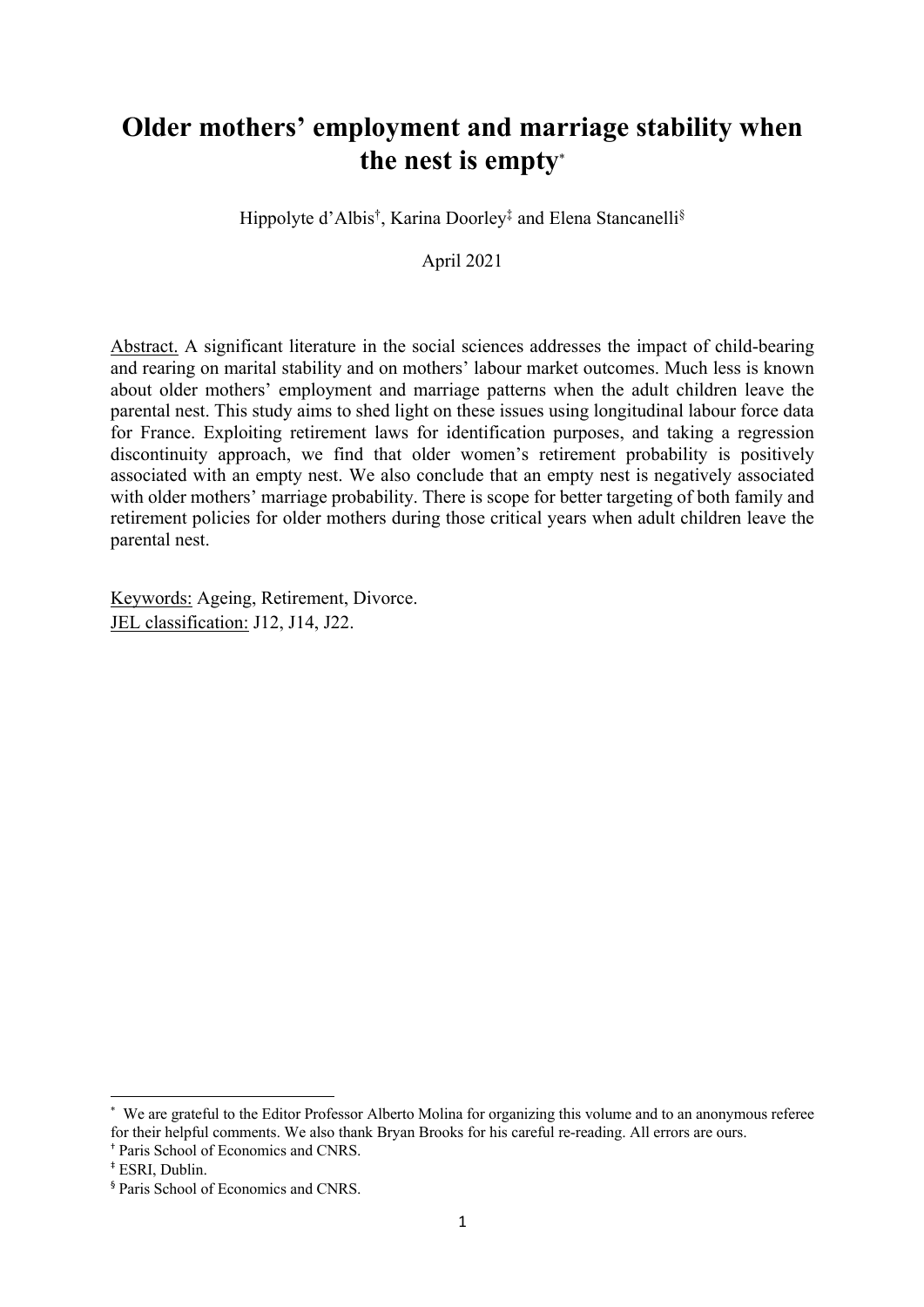# **Older mothers' employment and marriage stability when the nest is empty**\*

Hippolyte d'Albis†, Karina Doorley‡ and Elena Stancanelli§

April 2021

Abstract. A significant literature in the social sciences addresses the impact of child-bearing and rearing on marital stability and on mothers' labour market outcomes. Much less is known about older mothers' employment and marriage patterns when the adult children leave the parental nest. This study aims to shed light on these issues using longitudinal labour force data for France. Exploiting retirement laws for identification purposes, and taking a regression discontinuity approach, we find that older women's retirement probability is positively associated with an empty nest. We also conclude that an empty nest is negatively associated with older mothers' marriage probability. There is scope for better targeting of both family and retirement policies for older mothers during those critical years when adult children leave the parental nest.

Keywords: Ageing, Retirement, Divorce. JEL classification: J12, J14, J22.

<sup>\*</sup> We are grateful to the Editor Professor Alberto Molina for organizing this volume and to an anonymous referee for their helpful comments. We also thank Bryan Brooks for his careful re-reading. All errors are ours.

<sup>†</sup> Paris School of Economics and CNRS.

<sup>‡</sup> ESRI, Dublin.

<sup>§</sup> Paris School of Economics and CNRS.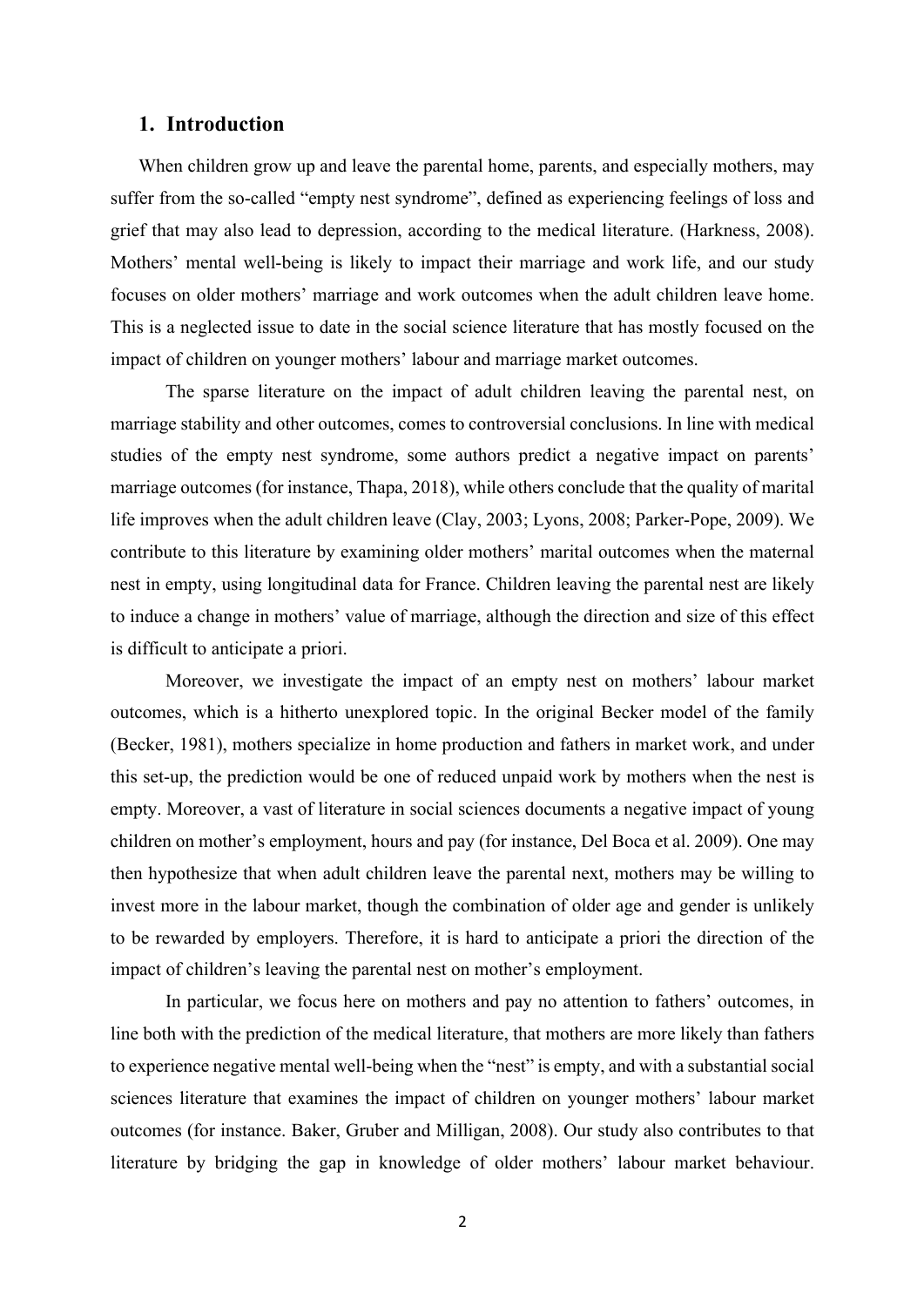#### **1. Introduction**

When children grow up and leave the parental home, parents, and especially mothers, may suffer from the so-called "empty nest syndrome", defined as experiencing feelings of loss and grief that may also lead to depression, according to the medical literature. (Harkness, 2008). Mothers' mental well-being is likely to impact their marriage and work life, and our study focuses on older mothers' marriage and work outcomes when the adult children leave home. This is a neglected issue to date in the social science literature that has mostly focused on the impact of children on younger mothers' labour and marriage market outcomes.

The sparse literature on the impact of adult children leaving the parental nest, on marriage stability and other outcomes, comes to controversial conclusions. In line with medical studies of the empty nest syndrome, some authors predict a negative impact on parents' marriage outcomes (for instance, Thapa, 2018), while others conclude that the quality of marital life improves when the adult children leave (Clay, 2003; Lyons, 2008; Parker-Pope, 2009). We contribute to this literature by examining older mothers' marital outcomes when the maternal nest in empty, using longitudinal data for France. Children leaving the parental nest are likely to induce a change in mothers' value of marriage, although the direction and size of this effect is difficult to anticipate a priori.

Moreover, we investigate the impact of an empty nest on mothers' labour market outcomes, which is a hitherto unexplored topic. In the original Becker model of the family (Becker, 1981), mothers specialize in home production and fathers in market work, and under this set-up, the prediction would be one of reduced unpaid work by mothers when the nest is empty. Moreover, a vast of literature in social sciences documents a negative impact of young children on mother's employment, hours and pay (for instance, Del Boca et al. 2009). One may then hypothesize that when adult children leave the parental next, mothers may be willing to invest more in the labour market, though the combination of older age and gender is unlikely to be rewarded by employers. Therefore, it is hard to anticipate a priori the direction of the impact of children's leaving the parental nest on mother's employment.

In particular, we focus here on mothers and pay no attention to fathers' outcomes, in line both with the prediction of the medical literature, that mothers are more likely than fathers to experience negative mental well-being when the "nest" is empty, and with a substantial social sciences literature that examines the impact of children on younger mothers' labour market outcomes (for instance. Baker, Gruber and Milligan, 2008). Our study also contributes to that literature by bridging the gap in knowledge of older mothers' labour market behaviour.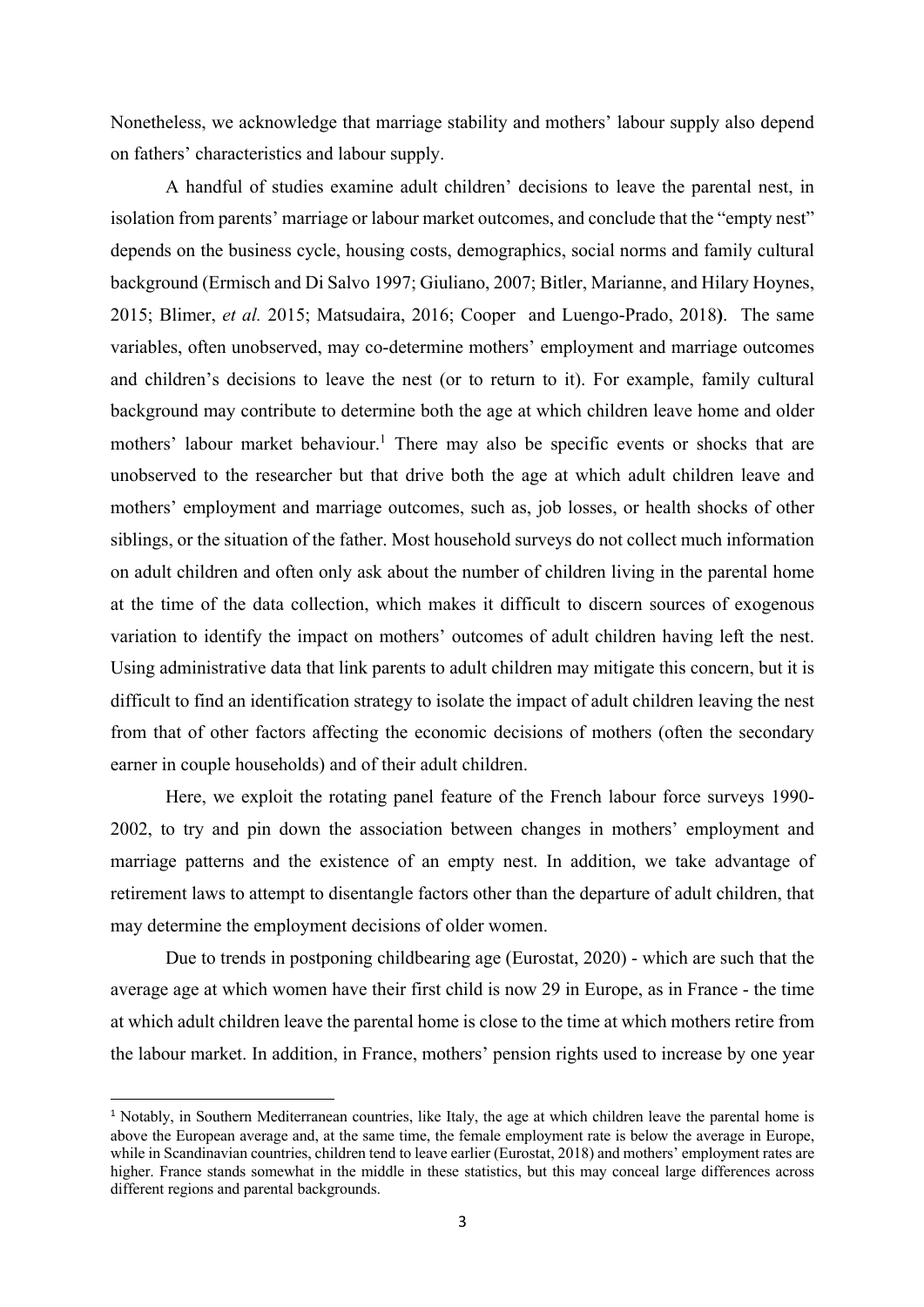Nonetheless, we acknowledge that marriage stability and mothers' labour supply also depend on fathers' characteristics and labour supply.

A handful of studies examine adult children' decisions to leave the parental nest, in isolation from parents' marriage or labour market outcomes, and conclude that the "empty nest" depends on the business cycle, housing costs, demographics, social norms and family cultural background (Ermisch and Di Salvo 1997; Giuliano, 2007; Bitler, Marianne, and Hilary Hoynes, 2015; Blimer, *et al.* 2015; Matsudaira, 2016; Cooper and Luengo-Prado, 2018**)**. The same variables, often unobserved, may co-determine mothers' employment and marriage outcomes and children's decisions to leave the nest (or to return to it). For example, family cultural background may contribute to determine both the age at which children leave home and older mothers' labour market behaviour.<sup>1</sup> There may also be specific events or shocks that are unobserved to the researcher but that drive both the age at which adult children leave and mothers' employment and marriage outcomes, such as, job losses, or health shocks of other siblings, or the situation of the father. Most household surveys do not collect much information on adult children and often only ask about the number of children living in the parental home at the time of the data collection, which makes it difficult to discern sources of exogenous variation to identify the impact on mothers' outcomes of adult children having left the nest. Using administrative data that link parents to adult children may mitigate this concern, but it is difficult to find an identification strategy to isolate the impact of adult children leaving the nest from that of other factors affecting the economic decisions of mothers (often the secondary earner in couple households) and of their adult children.

Here, we exploit the rotating panel feature of the French labour force surveys 1990- 2002, to try and pin down the association between changes in mothers' employment and marriage patterns and the existence of an empty nest. In addition, we take advantage of retirement laws to attempt to disentangle factors other than the departure of adult children, that may determine the employment decisions of older women.

Due to trends in postponing childbearing age (Eurostat, 2020) - which are such that the average age at which women have their first child is now 29 in Europe, as in France - the time at which adult children leave the parental home is close to the time at which mothers retire from the labour market. In addition, in France, mothers' pension rights used to increase by one year

<sup>&</sup>lt;sup>1</sup> Notably, in Southern Mediterranean countries, like Italy, the age at which children leave the parental home is above the European average and, at the same time, the female employment rate is below the average in Europe, while in Scandinavian countries, children tend to leave earlier (Eurostat, 2018) and mothers' employment rates are higher. France stands somewhat in the middle in these statistics, but this may conceal large differences across different regions and parental backgrounds.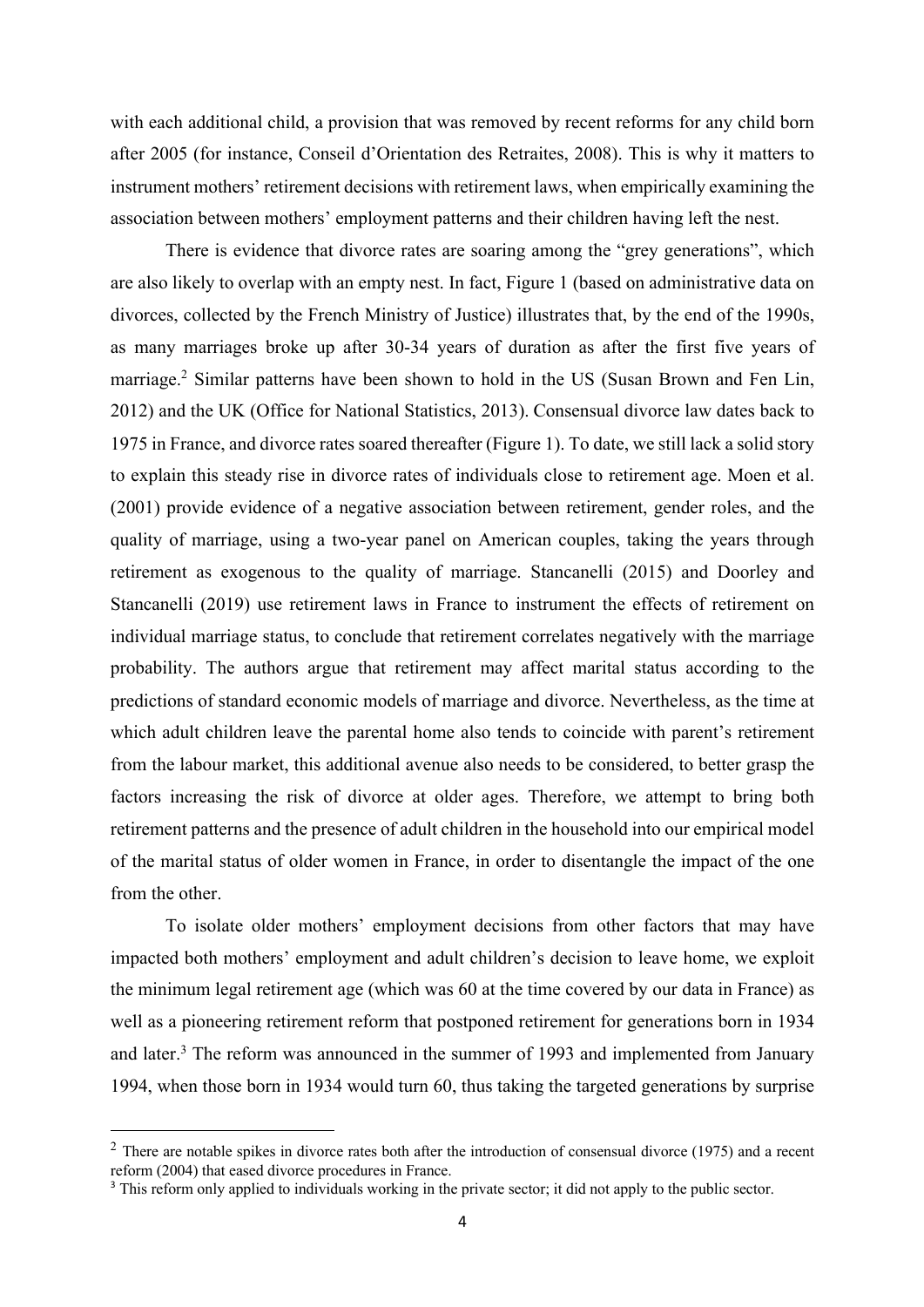with each additional child, a provision that was removed by recent reforms for any child born after 2005 (for instance, Conseil d'Orientation des Retraites, 2008). This is why it matters to instrument mothers' retirement decisions with retirement laws, when empirically examining the association between mothers' employment patterns and their children having left the nest.

There is evidence that divorce rates are soaring among the "grey generations", which are also likely to overlap with an empty nest. In fact, Figure 1 (based on administrative data on divorces, collected by the French Ministry of Justice) illustrates that, by the end of the 1990s, as many marriages broke up after 30-34 years of duration as after the first five years of marriage.<sup>2</sup> Similar patterns have been shown to hold in the US (Susan Brown and Fen Lin, 2012) and the UK (Office for National Statistics, 2013). Consensual divorce law dates back to 1975 in France, and divorce rates soared thereafter (Figure 1). To date, we still lack a solid story to explain this steady rise in divorce rates of individuals close to retirement age. Moen et al. (2001) provide evidence of a negative association between retirement, gender roles, and the quality of marriage, using a two-year panel on American couples, taking the years through retirement as exogenous to the quality of marriage. Stancanelli (2015) and Doorley and Stancanelli (2019) use retirement laws in France to instrument the effects of retirement on individual marriage status, to conclude that retirement correlates negatively with the marriage probability. The authors argue that retirement may affect marital status according to the predictions of standard economic models of marriage and divorce. Nevertheless, as the time at which adult children leave the parental home also tends to coincide with parent's retirement from the labour market, this additional avenue also needs to be considered, to better grasp the factors increasing the risk of divorce at older ages. Therefore, we attempt to bring both retirement patterns and the presence of adult children in the household into our empirical model of the marital status of older women in France, in order to disentangle the impact of the one from the other.

To isolate older mothers' employment decisions from other factors that may have impacted both mothers' employment and adult children's decision to leave home, we exploit the minimum legal retirement age (which was 60 at the time covered by our data in France) as well as a pioneering retirement reform that postponed retirement for generations born in 1934 and later.<sup>3</sup> The reform was announced in the summer of 1993 and implemented from January 1994, when those born in 1934 would turn 60, thus taking the targeted generations by surprise

 $2$  There are notable spikes in divorce rates both after the introduction of consensual divorce (1975) and a recent reform (2004) that eased divorce procedures in France.

<sup>&</sup>lt;sup>3</sup> This reform only applied to individuals working in the private sector; it did not apply to the public sector.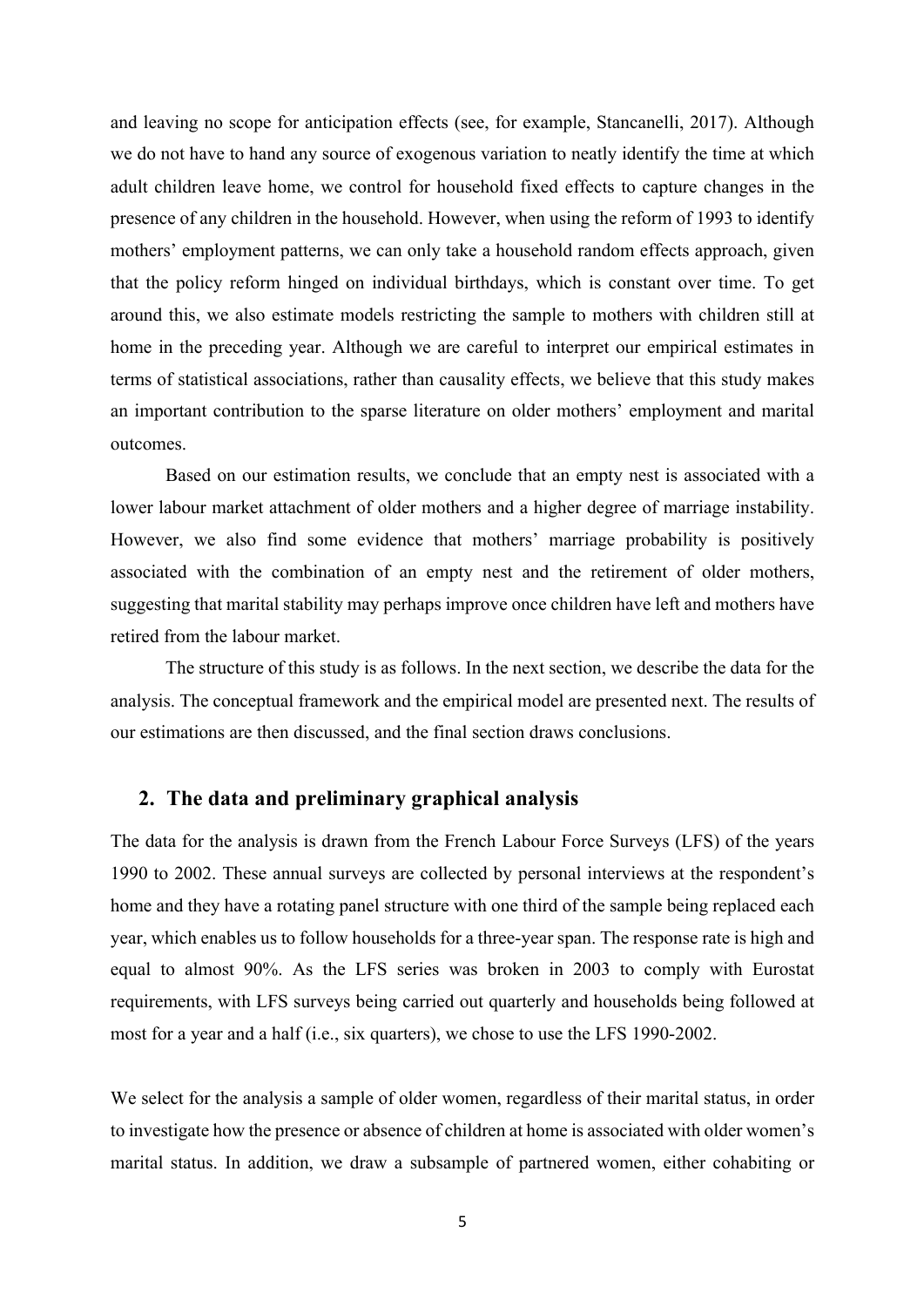and leaving no scope for anticipation effects (see, for example, Stancanelli, 2017). Although we do not have to hand any source of exogenous variation to neatly identify the time at which adult children leave home, we control for household fixed effects to capture changes in the presence of any children in the household. However, when using the reform of 1993 to identify mothers' employment patterns, we can only take a household random effects approach, given that the policy reform hinged on individual birthdays, which is constant over time. To get around this, we also estimate models restricting the sample to mothers with children still at home in the preceding year. Although we are careful to interpret our empirical estimates in terms of statistical associations, rather than causality effects, we believe that this study makes an important contribution to the sparse literature on older mothers' employment and marital outcomes.

Based on our estimation results, we conclude that an empty nest is associated with a lower labour market attachment of older mothers and a higher degree of marriage instability. However, we also find some evidence that mothers' marriage probability is positively associated with the combination of an empty nest and the retirement of older mothers, suggesting that marital stability may perhaps improve once children have left and mothers have retired from the labour market.

The structure of this study is as follows. In the next section, we describe the data for the analysis. The conceptual framework and the empirical model are presented next. The results of our estimations are then discussed, and the final section draws conclusions.

#### **2. The data and preliminary graphical analysis**

The data for the analysis is drawn from the French Labour Force Surveys (LFS) of the years 1990 to 2002. These annual surveys are collected by personal interviews at the respondent's home and they have a rotating panel structure with one third of the sample being replaced each year, which enables us to follow households for a three-year span. The response rate is high and equal to almost 90%. As the LFS series was broken in 2003 to comply with Eurostat requirements, with LFS surveys being carried out quarterly and households being followed at most for a year and a half (i.e., six quarters), we chose to use the LFS 1990-2002.

We select for the analysis a sample of older women, regardless of their marital status, in order to investigate how the presence or absence of children at home is associated with older women's marital status. In addition, we draw a subsample of partnered women, either cohabiting or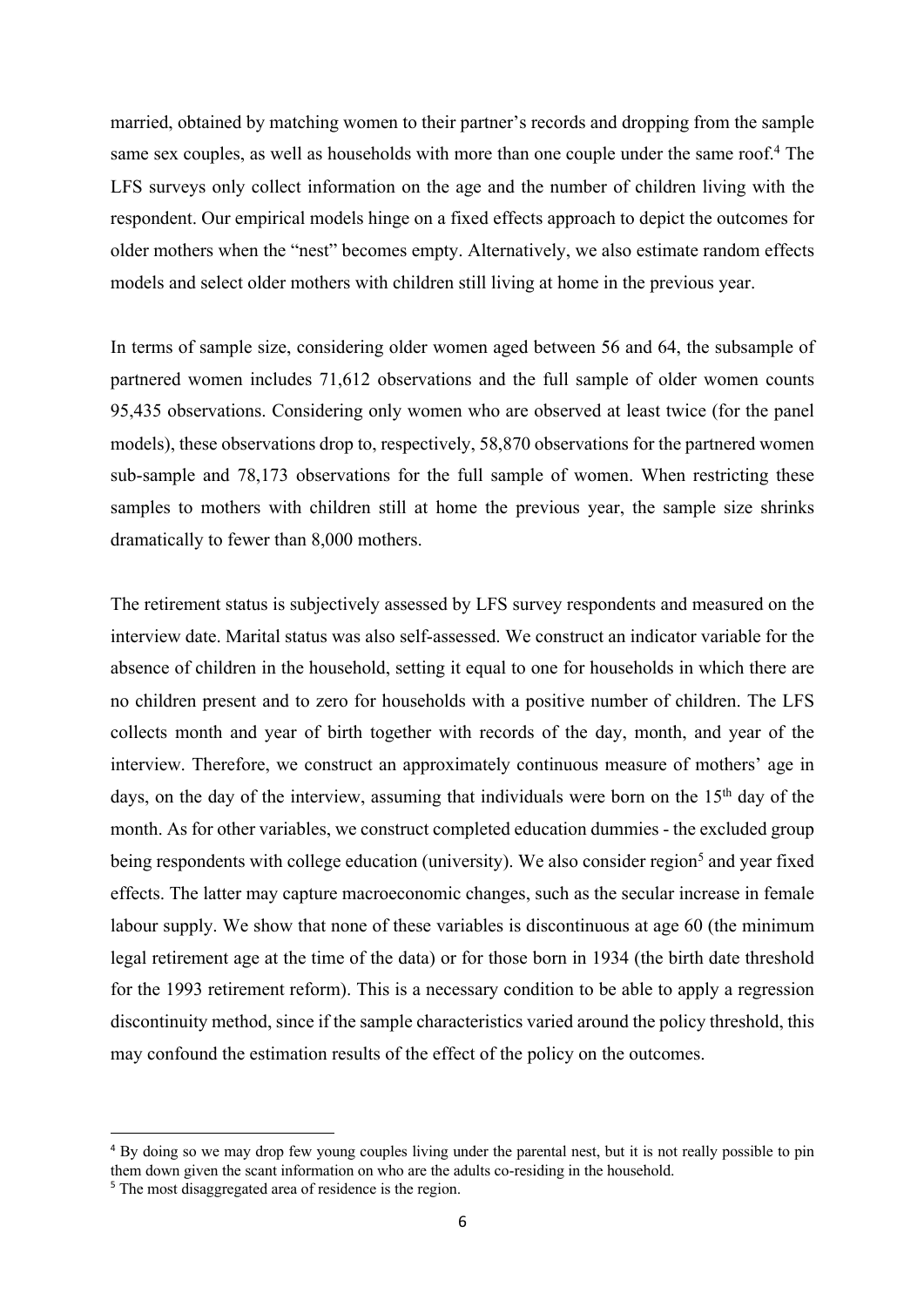married, obtained by matching women to their partner's records and dropping from the sample same sex couples, as well as households with more than one couple under the same roof.<sup>4</sup> The LFS surveys only collect information on the age and the number of children living with the respondent. Our empirical models hinge on a fixed effects approach to depict the outcomes for older mothers when the "nest" becomes empty. Alternatively, we also estimate random effects models and select older mothers with children still living at home in the previous year.

In terms of sample size, considering older women aged between 56 and 64, the subsample of partnered women includes 71,612 observations and the full sample of older women counts 95,435 observations. Considering only women who are observed at least twice (for the panel models), these observations drop to, respectively, 58,870 observations for the partnered women sub-sample and 78,173 observations for the full sample of women. When restricting these samples to mothers with children still at home the previous year, the sample size shrinks dramatically to fewer than 8,000 mothers.

The retirement status is subjectively assessed by LFS survey respondents and measured on the interview date. Marital status was also self-assessed. We construct an indicator variable for the absence of children in the household, setting it equal to one for households in which there are no children present and to zero for households with a positive number of children. The LFS collects month and year of birth together with records of the day, month, and year of the interview. Therefore, we construct an approximately continuous measure of mothers' age in days, on the day of the interview, assuming that individuals were born on the  $15<sup>th</sup>$  day of the month. As for other variables, we construct completed education dummies - the excluded group being respondents with college education (university). We also consider region<sup>5</sup> and year fixed effects. The latter may capture macroeconomic changes, such as the secular increase in female labour supply. We show that none of these variables is discontinuous at age 60 (the minimum legal retirement age at the time of the data) or for those born in 1934 (the birth date threshold for the 1993 retirement reform). This is a necessary condition to be able to apply a regression discontinuity method, since if the sample characteristics varied around the policy threshold, this may confound the estimation results of the effect of the policy on the outcomes.

<sup>&</sup>lt;sup>4</sup> By doing so we may drop few young couples living under the parental nest, but it is not really possible to pin them down given the scant information on who are the adults co-residing in the household.

<sup>&</sup>lt;sup>5</sup> The most disaggregated area of residence is the region.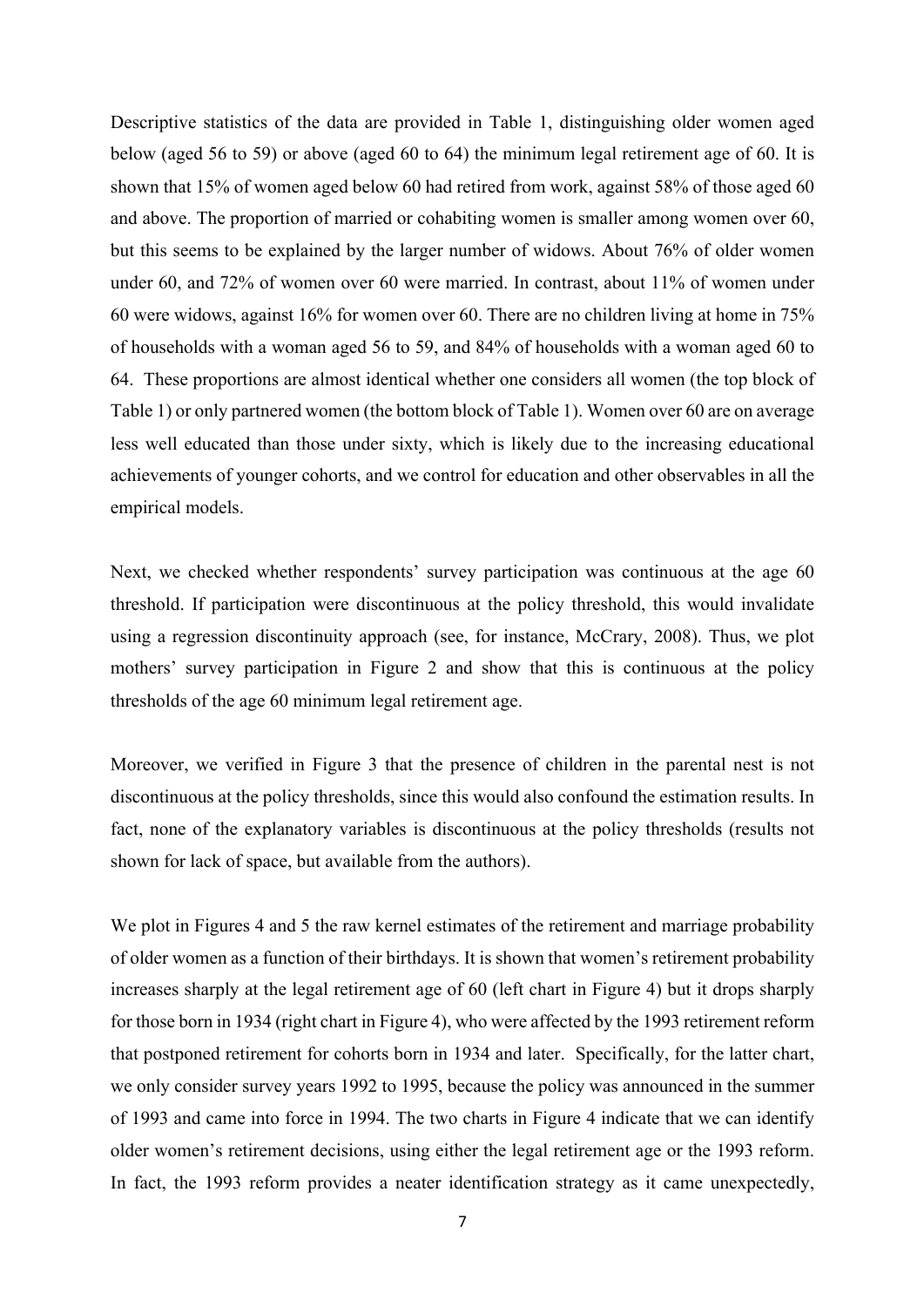Descriptive statistics of the data are provided in Table 1, distinguishing older women aged below (aged 56 to 59) or above (aged 60 to 64) the minimum legal retirement age of 60. It is shown that 15% of women aged below 60 had retired from work, against 58% of those aged 60 and above. The proportion of married or cohabiting women is smaller among women over 60, but this seems to be explained by the larger number of widows. About 76% of older women under 60, and 72% of women over 60 were married. In contrast, about 11% of women under 60 were widows, against 16% for women over 60. There are no children living at home in 75% of households with a woman aged 56 to 59, and 84% of households with a woman aged 60 to 64. These proportions are almost identical whether one considers all women (the top block of Table 1) or only partnered women (the bottom block of Table 1). Women over 60 are on average less well educated than those under sixty, which is likely due to the increasing educational achievements of younger cohorts, and we control for education and other observables in all the empirical models.

Next, we checked whether respondents' survey participation was continuous at the age 60 threshold. If participation were discontinuous at the policy threshold, this would invalidate using a regression discontinuity approach (see, for instance, McCrary, 2008). Thus, we plot mothers' survey participation in Figure 2 and show that this is continuous at the policy thresholds of the age 60 minimum legal retirement age.

Moreover, we verified in Figure 3 that the presence of children in the parental nest is not discontinuous at the policy thresholds, since this would also confound the estimation results. In fact, none of the explanatory variables is discontinuous at the policy thresholds (results not shown for lack of space, but available from the authors).

We plot in Figures 4 and 5 the raw kernel estimates of the retirement and marriage probability of older women as a function of their birthdays. It is shown that women's retirement probability increases sharply at the legal retirement age of 60 (left chart in Figure 4) but it drops sharply for those born in 1934 (right chart in Figure 4), who were affected by the 1993 retirement reform that postponed retirement for cohorts born in 1934 and later. Specifically, for the latter chart, we only consider survey years 1992 to 1995, because the policy was announced in the summer of 1993 and came into force in 1994. The two charts in Figure 4 indicate that we can identify older women's retirement decisions, using either the legal retirement age or the 1993 reform. In fact, the 1993 reform provides a neater identification strategy as it came unexpectedly,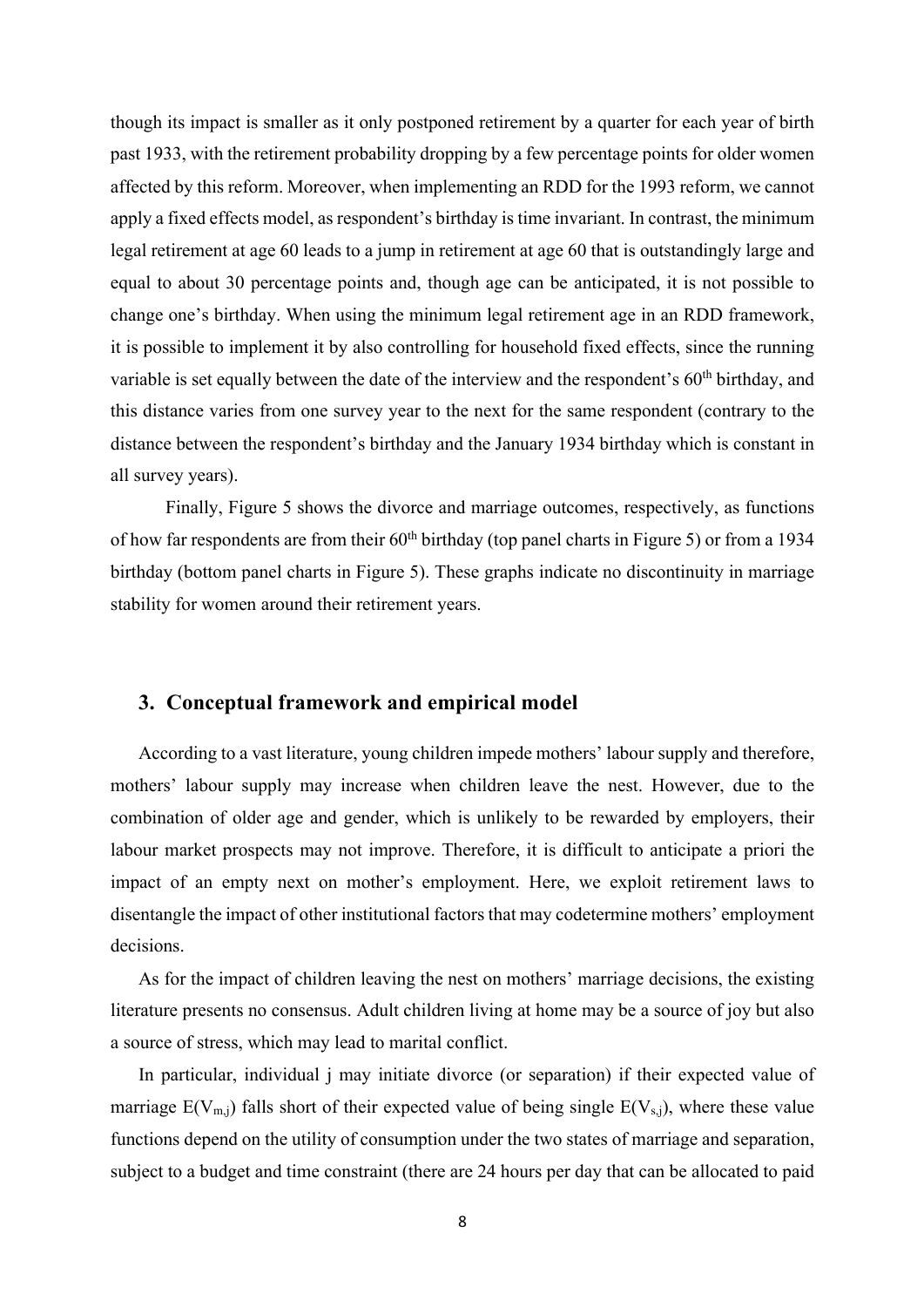though its impact is smaller as it only postponed retirement by a quarter for each year of birth past 1933, with the retirement probability dropping by a few percentage points for older women affected by this reform. Moreover, when implementing an RDD for the 1993 reform, we cannot apply a fixed effects model, as respondent's birthday is time invariant. In contrast, the minimum legal retirement at age 60 leads to a jump in retirement at age 60 that is outstandingly large and equal to about 30 percentage points and, though age can be anticipated, it is not possible to change one's birthday. When using the minimum legal retirement age in an RDD framework, it is possible to implement it by also controlling for household fixed effects, since the running variable is set equally between the date of the interview and the respondent's 60<sup>th</sup> birthday, and this distance varies from one survey year to the next for the same respondent (contrary to the distance between the respondent's birthday and the January 1934 birthday which is constant in all survey years).

Finally, Figure 5 shows the divorce and marriage outcomes, respectively, as functions of how far respondents are from their  $60<sup>th</sup>$  birthday (top panel charts in Figure 5) or from a 1934 birthday (bottom panel charts in Figure 5). These graphs indicate no discontinuity in marriage stability for women around their retirement years.

#### **3. Conceptual framework and empirical model**

According to a vast literature, young children impede mothers' labour supply and therefore, mothers' labour supply may increase when children leave the nest. However, due to the combination of older age and gender, which is unlikely to be rewarded by employers, their labour market prospects may not improve. Therefore, it is difficult to anticipate a priori the impact of an empty next on mother's employment. Here, we exploit retirement laws to disentangle the impact of other institutional factors that may codetermine mothers' employment decisions.

As for the impact of children leaving the nest on mothers' marriage decisions, the existing literature presents no consensus. Adult children living at home may be a source of joy but also a source of stress, which may lead to marital conflict.

In particular, individual j may initiate divorce (or separation) if their expected value of marriage  $E(V_{m,j})$  falls short of their expected value of being single  $E(V_{s,j})$ , where these value functions depend on the utility of consumption under the two states of marriage and separation, subject to a budget and time constraint (there are 24 hours per day that can be allocated to paid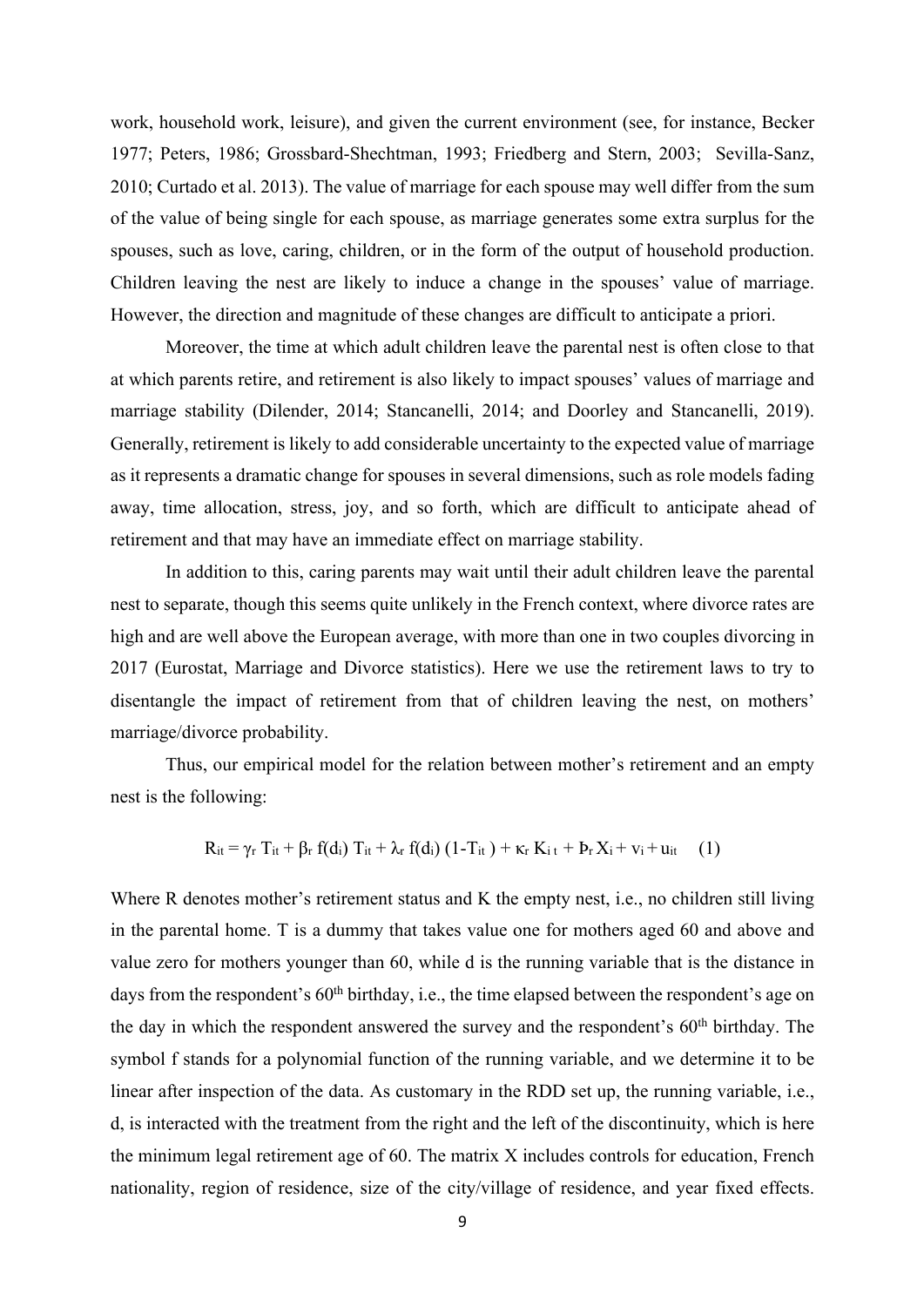work, household work, leisure), and given the current environment (see, for instance, Becker 1977; Peters, 1986; Grossbard-Shechtman, 1993; Friedberg and Stern, 2003; Sevilla-Sanz, 2010; Curtado et al. 2013). The value of marriage for each spouse may well differ from the sum of the value of being single for each spouse, as marriage generates some extra surplus for the spouses, such as love, caring, children, or in the form of the output of household production. Children leaving the nest are likely to induce a change in the spouses' value of marriage. However, the direction and magnitude of these changes are difficult to anticipate a priori.

Moreover, the time at which adult children leave the parental nest is often close to that at which parents retire, and retirement is also likely to impact spouses' values of marriage and marriage stability (Dilender, 2014; Stancanelli, 2014; and Doorley and Stancanelli, 2019). Generally, retirement is likely to add considerable uncertainty to the expected value of marriage as it represents a dramatic change for spouses in several dimensions, such as role models fading away, time allocation, stress, joy, and so forth, which are difficult to anticipate ahead of retirement and that may have an immediate effect on marriage stability.

In addition to this, caring parents may wait until their adult children leave the parental nest to separate, though this seems quite unlikely in the French context, where divorce rates are high and are well above the European average, with more than one in two couples divorcing in 2017 (Eurostat, Marriage and Divorce statistics). Here we use the retirement laws to try to disentangle the impact of retirement from that of children leaving the nest, on mothers' marriage/divorce probability.

Thus, our empirical model for the relation between mother's retirement and an empty nest is the following:

$$
R_{it}=\gamma_r T_{it}+\beta_r f(d_i) T_{it}+\lambda_r f(d_i) (1-T_{it})+\kappa_r K_{i\ t}+P_r X_i+\nu_i+\boldsymbol{u}_{it} \hspace{0.5cm} (1)
$$

Where R denotes mother's retirement status and K the empty nest, *i.e.*, no children still living in the parental home. T is a dummy that takes value one for mothers aged 60 and above and value zero for mothers younger than 60, while d is the running variable that is the distance in days from the respondent's 60<sup>th</sup> birthday, i.e., the time elapsed between the respondent's age on the day in which the respondent answered the survey and the respondent's 60th birthday. The symbol f stands for a polynomial function of the running variable, and we determine it to be linear after inspection of the data. As customary in the RDD set up, the running variable, i.e., d, is interacted with the treatment from the right and the left of the discontinuity, which is here the minimum legal retirement age of 60. The matrix X includes controls for education, French nationality, region of residence, size of the city/village of residence, and year fixed effects.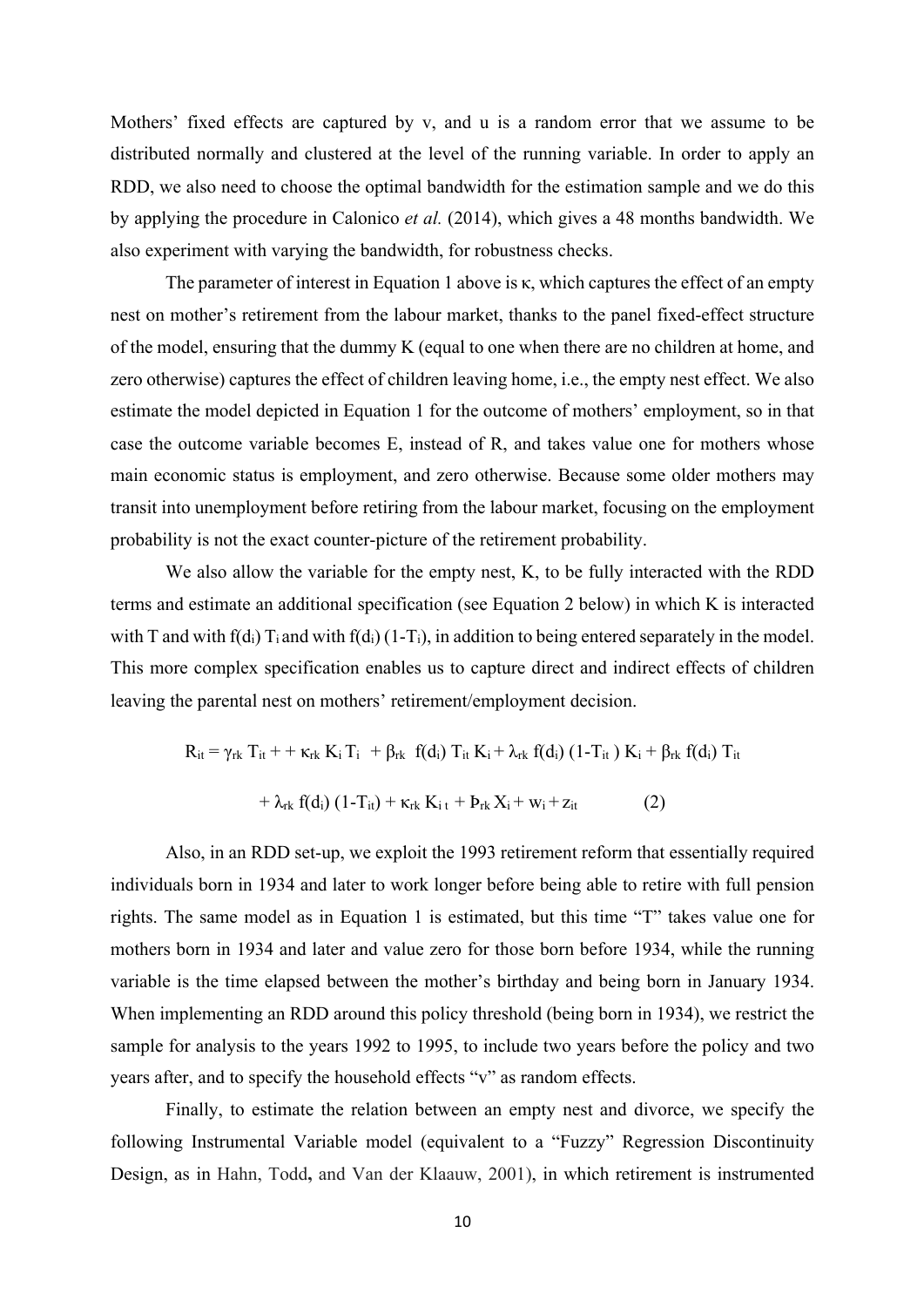Mothers' fixed effects are captured by v, and u is a random error that we assume to be distributed normally and clustered at the level of the running variable. In order to apply an RDD, we also need to choose the optimal bandwidth for the estimation sample and we do this by applying the procedure in Calonico *et al.* (2014), which gives a 48 months bandwidth. We also experiment with varying the bandwidth, for robustness checks.

The parameter of interest in Equation 1 above is κ, which captures the effect of an empty nest on mother's retirement from the labour market, thanks to the panel fixed-effect structure of the model, ensuring that the dummy K (equal to one when there are no children at home, and zero otherwise) captures the effect of children leaving home, i.e., the empty nest effect. We also estimate the model depicted in Equation 1 for the outcome of mothers' employment, so in that case the outcome variable becomes E, instead of R, and takes value one for mothers whose main economic status is employment, and zero otherwise. Because some older mothers may transit into unemployment before retiring from the labour market, focusing on the employment probability is not the exact counter-picture of the retirement probability.

We also allow the variable for the empty nest, K, to be fully interacted with the RDD terms and estimate an additional specification (see Equation 2 below) in which K is interacted with T and with  $f(d_i) T_i$  and with  $f(d_i) (1-T_i)$ , in addition to being entered separately in the model. This more complex specification enables us to capture direct and indirect effects of children leaving the parental nest on mothers' retirement/employment decision.

$$
R_{it} = \gamma_{rk} T_{it} + \kappa_{rk} K_i T_i + \beta_{rk} f(d_i) T_{it} K_i + \lambda_{rk} f(d_i) (1 - T_{it}) K_i + \beta_{rk} f(d_i) T_{it}
$$
  
+ 
$$
\lambda_{rk} f(d_i) (1 - T_{it}) + \kappa_{rk} K_i t + P_{rk} X_i + w_i + z_{it}
$$
 (2)

Also, in an RDD set-up, we exploit the 1993 retirement reform that essentially required individuals born in 1934 and later to work longer before being able to retire with full pension rights. The same model as in Equation 1 is estimated, but this time "T" takes value one for mothers born in 1934 and later and value zero for those born before 1934, while the running variable is the time elapsed between the mother's birthday and being born in January 1934. When implementing an RDD around this policy threshold (being born in 1934), we restrict the sample for analysis to the years 1992 to 1995, to include two years before the policy and two years after, and to specify the household effects "v" as random effects.

Finally, to estimate the relation between an empty nest and divorce, we specify the following Instrumental Variable model (equivalent to a "Fuzzy" Regression Discontinuity Design, as in Hahn, Todd**,** and Van der Klaauw, 2001), in which retirement is instrumented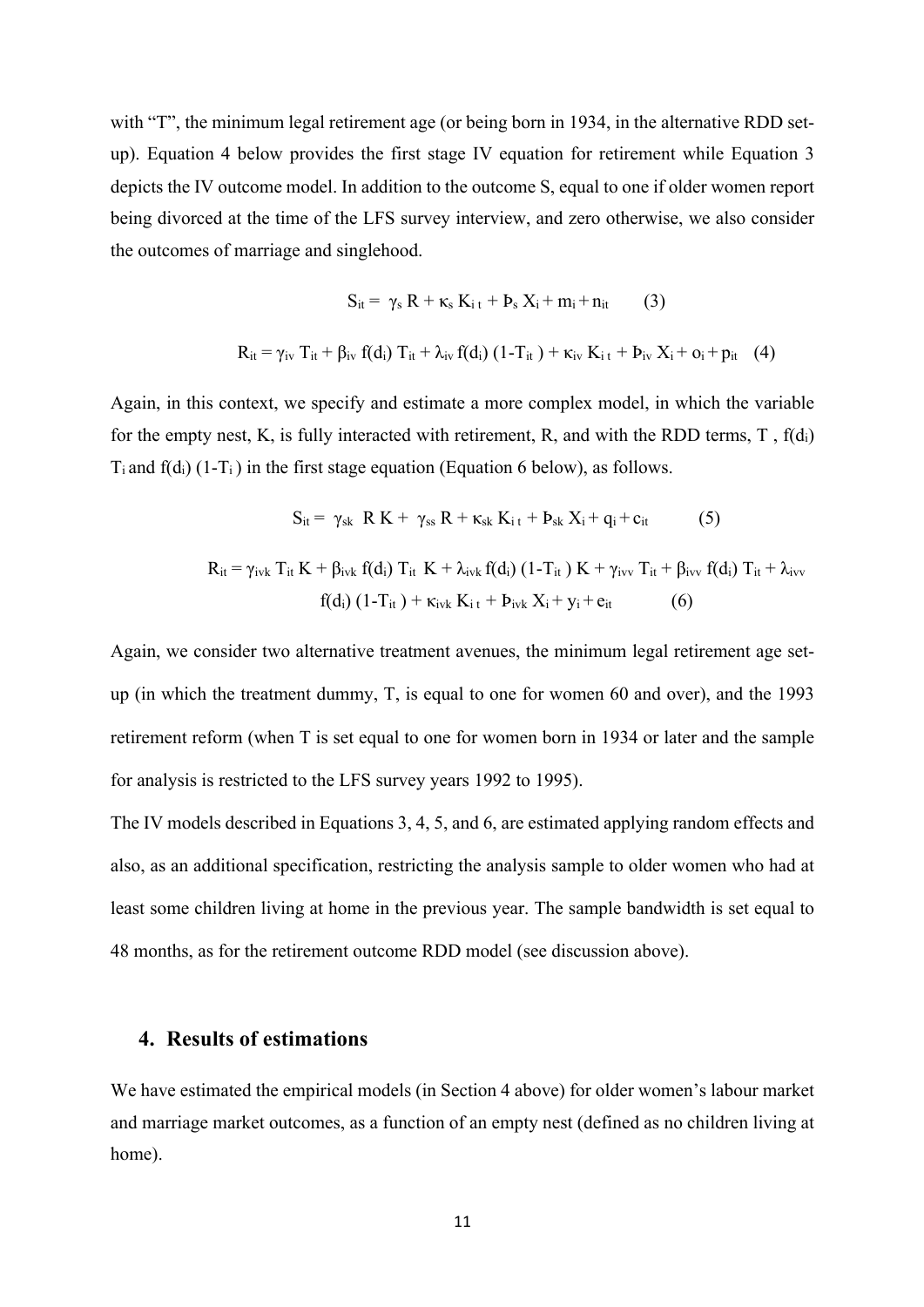with "T", the minimum legal retirement age (or being born in 1934, in the alternative RDD setup). Equation 4 below provides the first stage IV equation for retirement while Equation 3 depicts the IV outcome model. In addition to the outcome S, equal to one if older women report being divorced at the time of the LFS survey interview, and zero otherwise, we also consider the outcomes of marriage and singlehood.

$$
S_{it} = \gamma_s R + \kappa_s K_{i\,t} + P_s X_i + m_i + n_{it} \qquad (3)
$$
  

$$
R_{it} = \gamma_{iv} T_{it} + \beta_{iv} f(d_i) T_{it} + \lambda_{iv} f(d_i) (1 - T_{it}) + \kappa_{iv} K_{i\,t} + P_{iv} X_i + o_i + p_{it} \quad (4)
$$

Again, in this context, we specify and estimate a more complex model, in which the variable for the empty nest, K, is fully interacted with retirement, R, and with the RDD terms, T,  $f(d_i)$  $T_i$  and  $f(d_i)$  (1- $T_i$ ) in the first stage equation (Equation 6 below), as follows.

$$
S_{it} = \gamma_{sk} R K + \gamma_{ss} R + \kappa_{sk} K_{i\,t} + b_{sk} X_{i} + q_{i} + c_{it}
$$
 (5)  

$$
R_{it} = \gamma_{ivk} T_{it} K + \beta_{ivk} f(d_{i}) T_{it} K + \lambda_{ivk} f(d_{i}) (1 - T_{it}) K + \gamma_{ivv} T_{it} + \beta_{ivv} f(d_{i}) T_{it} + \lambda_{ivv}
$$
  

$$
f(d_{i}) (1 - T_{it}) + \kappa_{ivk} K_{i\,t} + b_{ivk} X_{i} + y_{i} + e_{it}
$$
 (6)

Again, we consider two alternative treatment avenues, the minimum legal retirement age setup (in which the treatment dummy, T, is equal to one for women 60 and over), and the 1993 retirement reform (when T is set equal to one for women born in 1934 or later and the sample for analysis is restricted to the LFS survey years 1992 to 1995).

The IV models described in Equations 3, 4, 5, and 6, are estimated applying random effects and also, as an additional specification, restricting the analysis sample to older women who had at least some children living at home in the previous year. The sample bandwidth is set equal to 48 months, as for the retirement outcome RDD model (see discussion above).

#### **4. Results of estimations**

We have estimated the empirical models (in Section 4 above) for older women's labour market and marriage market outcomes, as a function of an empty nest (defined as no children living at home).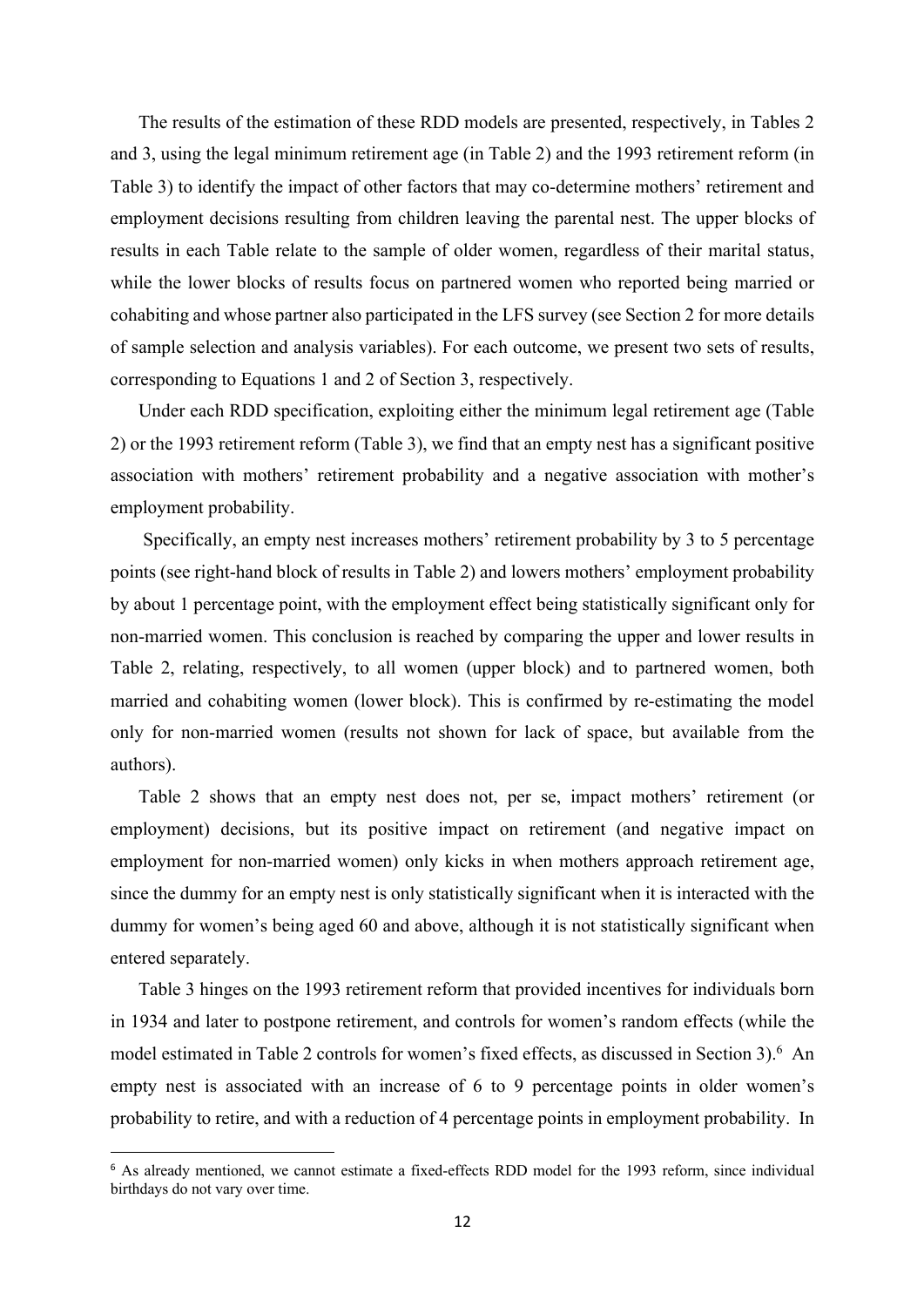The results of the estimation of these RDD models are presented, respectively, in Tables 2 and 3, using the legal minimum retirement age (in Table 2) and the 1993 retirement reform (in Table 3) to identify the impact of other factors that may co-determine mothers' retirement and employment decisions resulting from children leaving the parental nest. The upper blocks of results in each Table relate to the sample of older women, regardless of their marital status, while the lower blocks of results focus on partnered women who reported being married or cohabiting and whose partner also participated in the LFS survey (see Section 2 for more details of sample selection and analysis variables). For each outcome, we present two sets of results, corresponding to Equations 1 and 2 of Section 3, respectively.

Under each RDD specification, exploiting either the minimum legal retirement age (Table 2) or the 1993 retirement reform (Table 3), we find that an empty nest has a significant positive association with mothers' retirement probability and a negative association with mother's employment probability.

Specifically, an empty nest increases mothers' retirement probability by 3 to 5 percentage points (see right-hand block of results in Table 2) and lowers mothers' employment probability by about 1 percentage point, with the employment effect being statistically significant only for non-married women. This conclusion is reached by comparing the upper and lower results in Table 2, relating, respectively, to all women (upper block) and to partnered women, both married and cohabiting women (lower block). This is confirmed by re-estimating the model only for non-married women (results not shown for lack of space, but available from the authors).

Table 2 shows that an empty nest does not, per se, impact mothers' retirement (or employment) decisions, but its positive impact on retirement (and negative impact on employment for non-married women) only kicks in when mothers approach retirement age, since the dummy for an empty nest is only statistically significant when it is interacted with the dummy for women's being aged 60 and above, although it is not statistically significant when entered separately.

Table 3 hinges on the 1993 retirement reform that provided incentives for individuals born in 1934 and later to postpone retirement, and controls for women's random effects (while the model estimated in Table 2 controls for women's fixed effects, as discussed in Section 3). 6 An empty nest is associated with an increase of 6 to 9 percentage points in older women's probability to retire, and with a reduction of 4 percentage points in employment probability. In

<sup>&</sup>lt;sup>6</sup> As already mentioned, we cannot estimate a fixed-effects RDD model for the 1993 reform, since individual birthdays do not vary over time.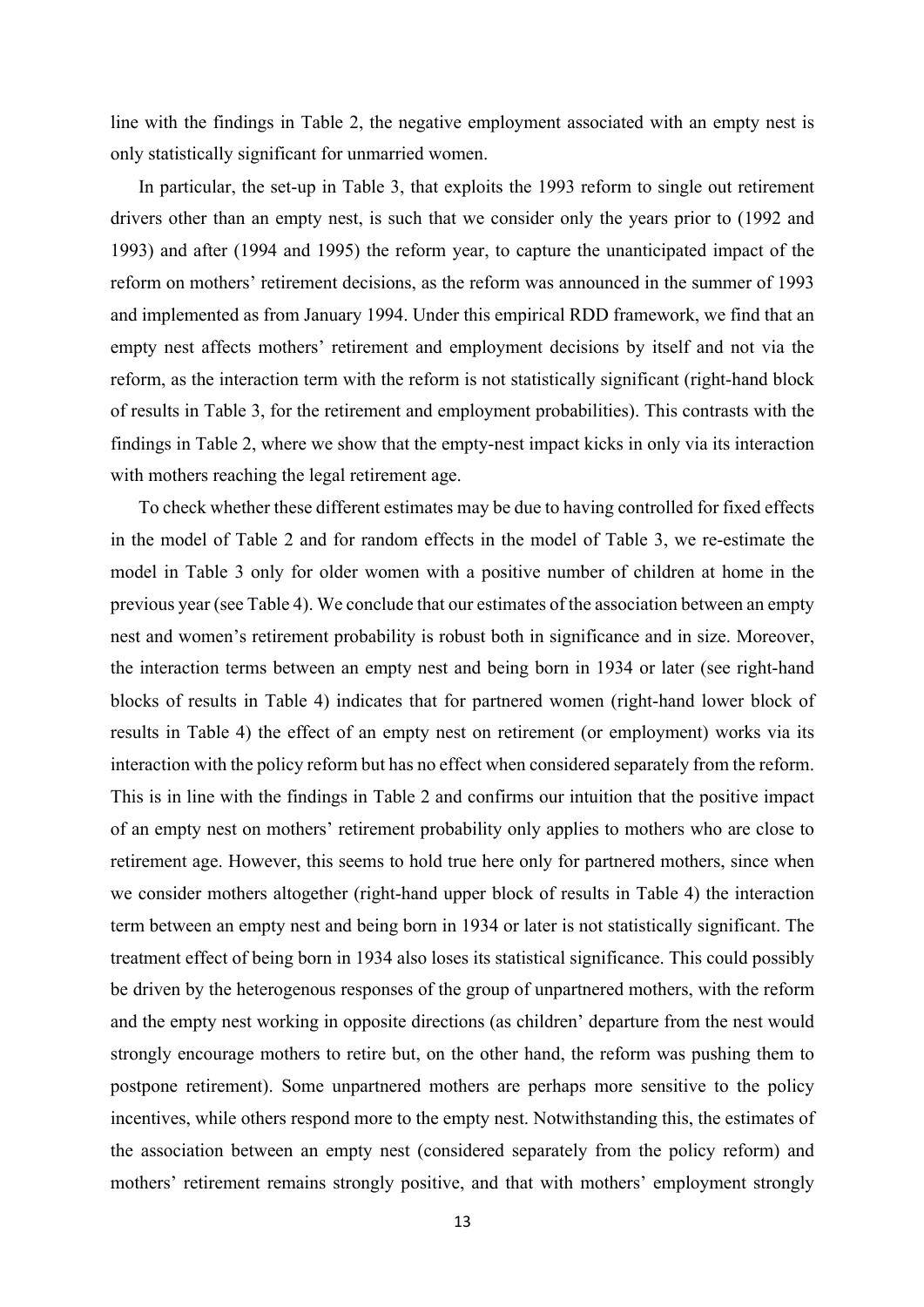line with the findings in Table 2, the negative employment associated with an empty nest is only statistically significant for unmarried women.

In particular, the set-up in Table 3, that exploits the 1993 reform to single out retirement drivers other than an empty nest, is such that we consider only the years prior to (1992 and 1993) and after (1994 and 1995) the reform year, to capture the unanticipated impact of the reform on mothers' retirement decisions, as the reform was announced in the summer of 1993 and implemented as from January 1994. Under this empirical RDD framework, we find that an empty nest affects mothers' retirement and employment decisions by itself and not via the reform, as the interaction term with the reform is not statistically significant (right-hand block of results in Table 3, for the retirement and employment probabilities). This contrasts with the findings in Table 2, where we show that the empty-nest impact kicks in only via its interaction with mothers reaching the legal retirement age.

To check whether these different estimates may be due to having controlled for fixed effects in the model of Table 2 and for random effects in the model of Table 3, we re-estimate the model in Table 3 only for older women with a positive number of children at home in the previous year (see Table 4). We conclude that our estimates of the association between an empty nest and women's retirement probability is robust both in significance and in size. Moreover, the interaction terms between an empty nest and being born in 1934 or later (see right-hand blocks of results in Table 4) indicates that for partnered women (right-hand lower block of results in Table 4) the effect of an empty nest on retirement (or employment) works via its interaction with the policy reform but has no effect when considered separately from the reform. This is in line with the findings in Table 2 and confirms our intuition that the positive impact of an empty nest on mothers' retirement probability only applies to mothers who are close to retirement age. However, this seems to hold true here only for partnered mothers, since when we consider mothers altogether (right-hand upper block of results in Table 4) the interaction term between an empty nest and being born in 1934 or later is not statistically significant. The treatment effect of being born in 1934 also loses its statistical significance. This could possibly be driven by the heterogenous responses of the group of unpartnered mothers, with the reform and the empty nest working in opposite directions (as children' departure from the nest would strongly encourage mothers to retire but, on the other hand, the reform was pushing them to postpone retirement). Some unpartnered mothers are perhaps more sensitive to the policy incentives, while others respond more to the empty nest. Notwithstanding this, the estimates of the association between an empty nest (considered separately from the policy reform) and mothers' retirement remains strongly positive, and that with mothers' employment strongly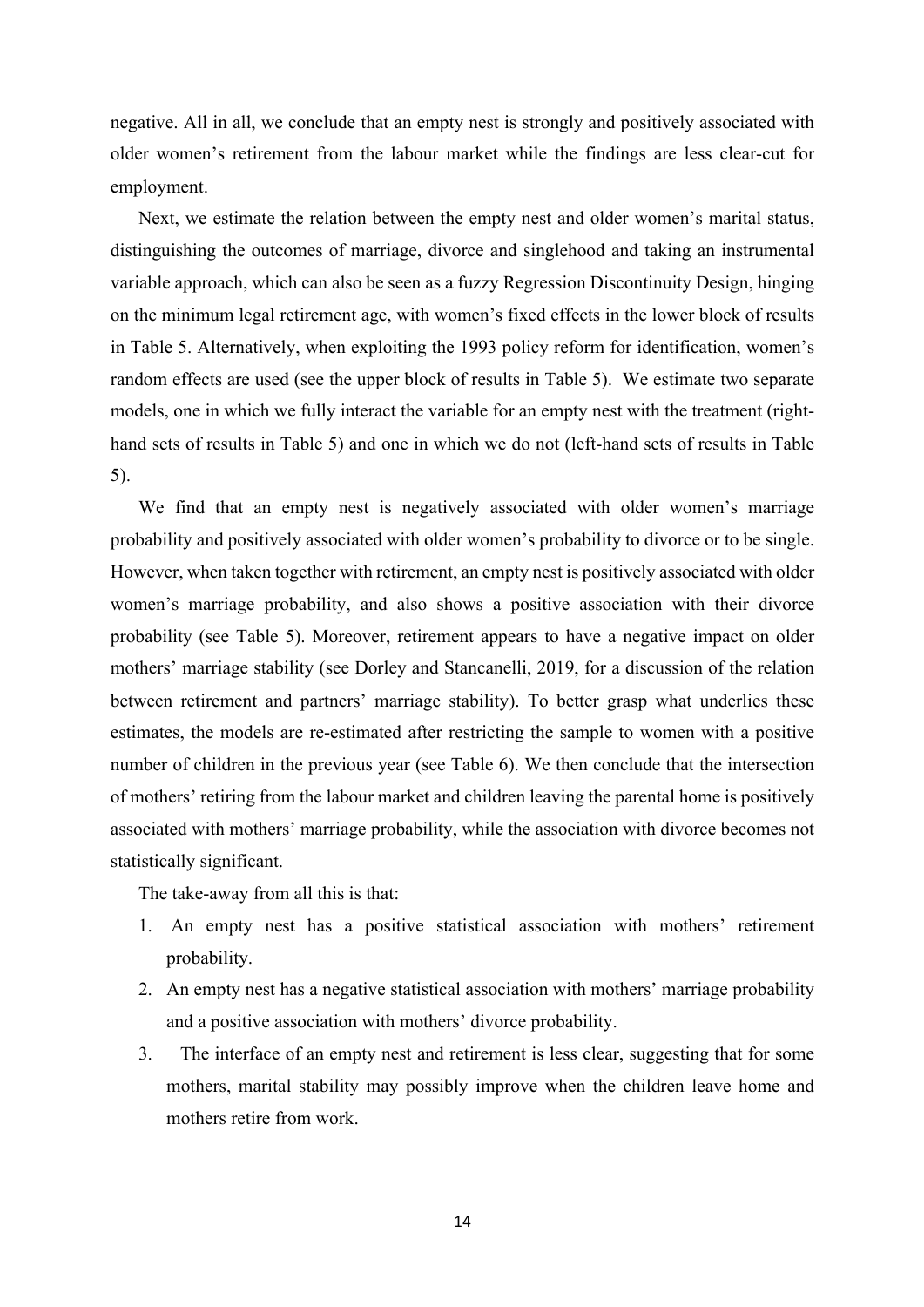negative. All in all, we conclude that an empty nest is strongly and positively associated with older women's retirement from the labour market while the findings are less clear-cut for employment.

Next, we estimate the relation between the empty nest and older women's marital status, distinguishing the outcomes of marriage, divorce and singlehood and taking an instrumental variable approach, which can also be seen as a fuzzy Regression Discontinuity Design, hinging on the minimum legal retirement age, with women's fixed effects in the lower block of results in Table 5. Alternatively, when exploiting the 1993 policy reform for identification, women's random effects are used (see the upper block of results in Table 5). We estimate two separate models, one in which we fully interact the variable for an empty nest with the treatment (righthand sets of results in Table 5) and one in which we do not (left-hand sets of results in Table 5).

We find that an empty nest is negatively associated with older women's marriage probability and positively associated with older women's probability to divorce or to be single. However, when taken together with retirement, an empty nest is positively associated with older women's marriage probability, and also shows a positive association with their divorce probability (see Table 5). Moreover, retirement appears to have a negative impact on older mothers' marriage stability (see Dorley and Stancanelli, 2019, for a discussion of the relation between retirement and partners' marriage stability). To better grasp what underlies these estimates, the models are re-estimated after restricting the sample to women with a positive number of children in the previous year (see Table 6). We then conclude that the intersection of mothers' retiring from the labour market and children leaving the parental home is positively associated with mothers' marriage probability, while the association with divorce becomes not statistically significant.

The take-away from all this is that:

- 1. An empty nest has a positive statistical association with mothers' retirement probability.
- 2. An empty nest has a negative statistical association with mothers' marriage probability and a positive association with mothers' divorce probability.
- 3. The interface of an empty nest and retirement is less clear, suggesting that for some mothers, marital stability may possibly improve when the children leave home and mothers retire from work.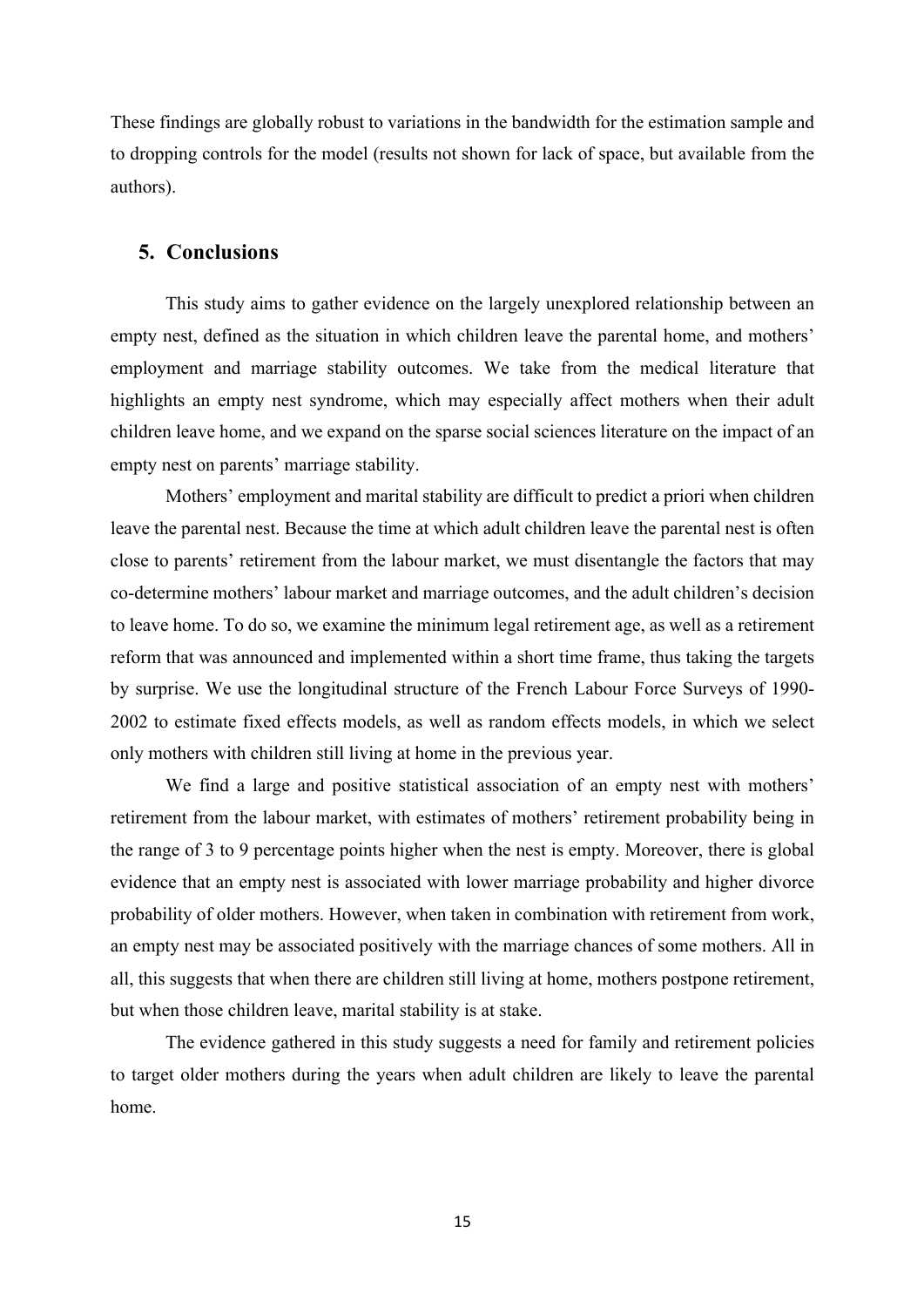These findings are globally robust to variations in the bandwidth for the estimation sample and to dropping controls for the model (results not shown for lack of space, but available from the authors).

### **5. Conclusions**

This study aims to gather evidence on the largely unexplored relationship between an empty nest, defined as the situation in which children leave the parental home, and mothers' employment and marriage stability outcomes. We take from the medical literature that highlights an empty nest syndrome, which may especially affect mothers when their adult children leave home, and we expand on the sparse social sciences literature on the impact of an empty nest on parents' marriage stability.

Mothers' employment and marital stability are difficult to predict a priori when children leave the parental nest. Because the time at which adult children leave the parental nest is often close to parents' retirement from the labour market, we must disentangle the factors that may co-determine mothers' labour market and marriage outcomes, and the adult children's decision to leave home. To do so, we examine the minimum legal retirement age, as well as a retirement reform that was announced and implemented within a short time frame, thus taking the targets by surprise. We use the longitudinal structure of the French Labour Force Surveys of 1990- 2002 to estimate fixed effects models, as well as random effects models, in which we select only mothers with children still living at home in the previous year.

We find a large and positive statistical association of an empty nest with mothers' retirement from the labour market, with estimates of mothers' retirement probability being in the range of 3 to 9 percentage points higher when the nest is empty. Moreover, there is global evidence that an empty nest is associated with lower marriage probability and higher divorce probability of older mothers. However, when taken in combination with retirement from work, an empty nest may be associated positively with the marriage chances of some mothers. All in all, this suggests that when there are children still living at home, mothers postpone retirement, but when those children leave, marital stability is at stake.

The evidence gathered in this study suggests a need for family and retirement policies to target older mothers during the years when adult children are likely to leave the parental home.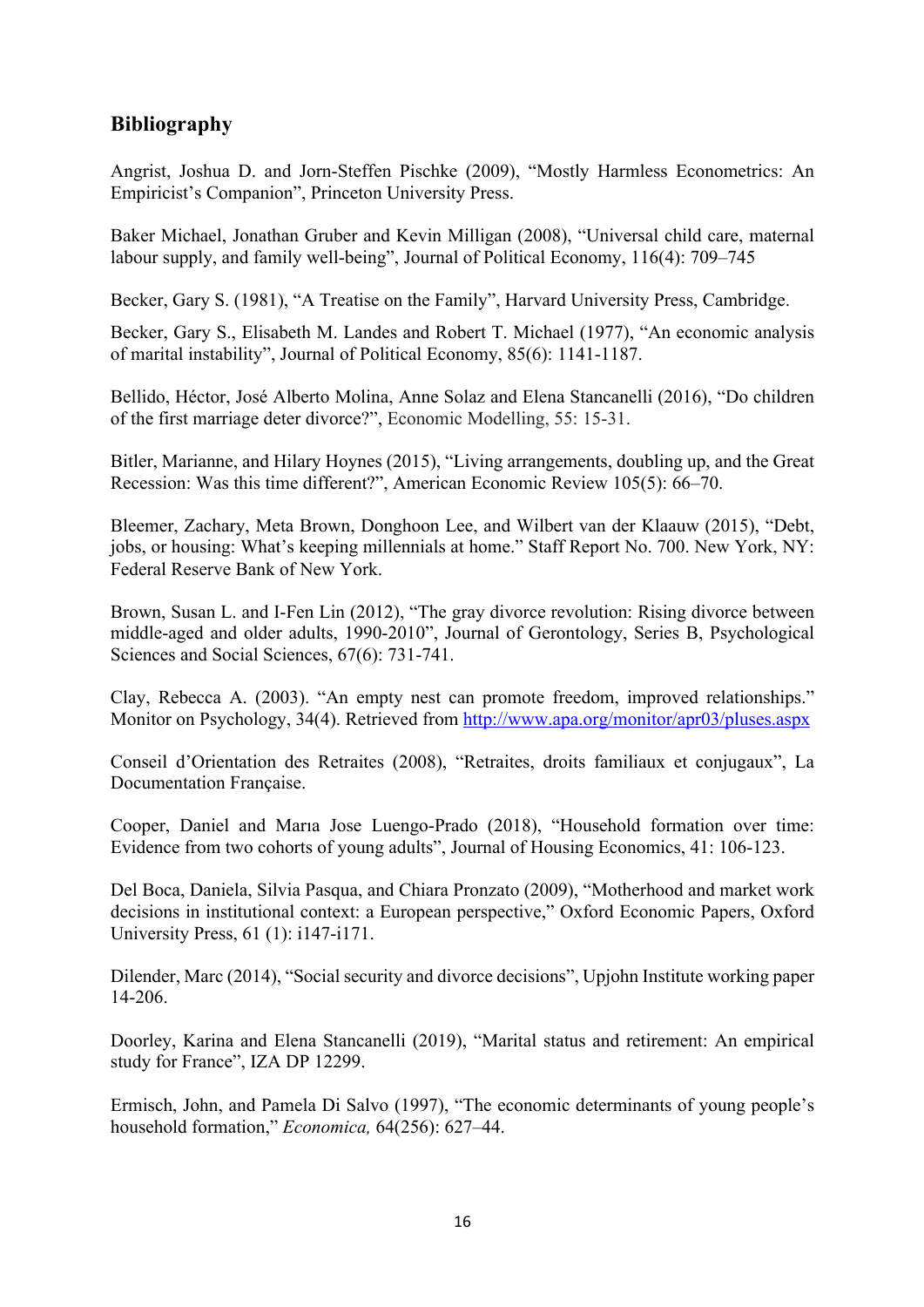## **Bibliography**

Angrist, Joshua D. and Jorn-Steffen Pischke (2009), "Mostly Harmless Econometrics: An Empiricist's Companion", Princeton University Press.

Baker Michael, Jonathan Gruber and Kevin Milligan (2008), "Universal child care, maternal labour supply, and family well-being", Journal of Political Economy, 116(4): 709–745

Becker, Gary S. (1981), "A Treatise on the Family", Harvard University Press, Cambridge.

Becker, Gary S., Elisabeth M. Landes and Robert T. Michael (1977), "An economic analysis of marital instability", Journal of Political Economy, 85(6): 1141-1187.

Bellido, Héctor, José Alberto Molina, Anne Solaz and Elena Stancanelli (2016), "Do children of the first marriage deter divorce?", Economic Modelling, 55: 15-31.

Bitler, Marianne, and Hilary Hoynes (2015), "Living arrangements, doubling up, and the Great Recession: Was this time different?", American Economic Review 105(5): 66–70.

Bleemer, Zachary, Meta Brown, Donghoon Lee, and Wilbert van der Klaauw (2015), "Debt, jobs, or housing: What's keeping millennials at home." Staff Report No. 700. New York, NY: Federal Reserve Bank of New York.

Brown, Susan L. and I-Fen Lin (2012), "The gray divorce revolution: Rising divorce between middle-aged and older adults, 1990-2010", Journal of Gerontology, Series B, Psychological Sciences and Social Sciences, 67(6): 731-741.

Clay, Rebecca A. (2003). "An empty nest can promote freedom, improved relationships." Monitor on Psychology, 34(4). Retrieved from http://www.apa.org/monitor/apr03/pluses.aspx

Conseil d'Orientation des Retraites (2008), "Retraites, droits familiaux et conjugaux", La Documentation Française.

Cooper, Daniel and Marıa Jose Luengo-Prado (2018), "Household formation over time: Evidence from two cohorts of young adults", Journal of Housing Economics, 41: 106-123.

Del Boca, Daniela, Silvia Pasqua, and Chiara Pronzato (2009), "Motherhood and market work decisions in institutional context: a European perspective," Oxford Economic Papers, Oxford University Press, 61 (1): i147-i171.

Dilender, Marc (2014), "Social security and divorce decisions", Upjohn Institute working paper 14-206.

Doorley, Karina and Elena Stancanelli (2019), "Marital status and retirement: An empirical study for France", IZA DP 12299.

Ermisch, John, and Pamela Di Salvo (1997), "The economic determinants of young people's household formation," *Economica,* 64(256): 627–44.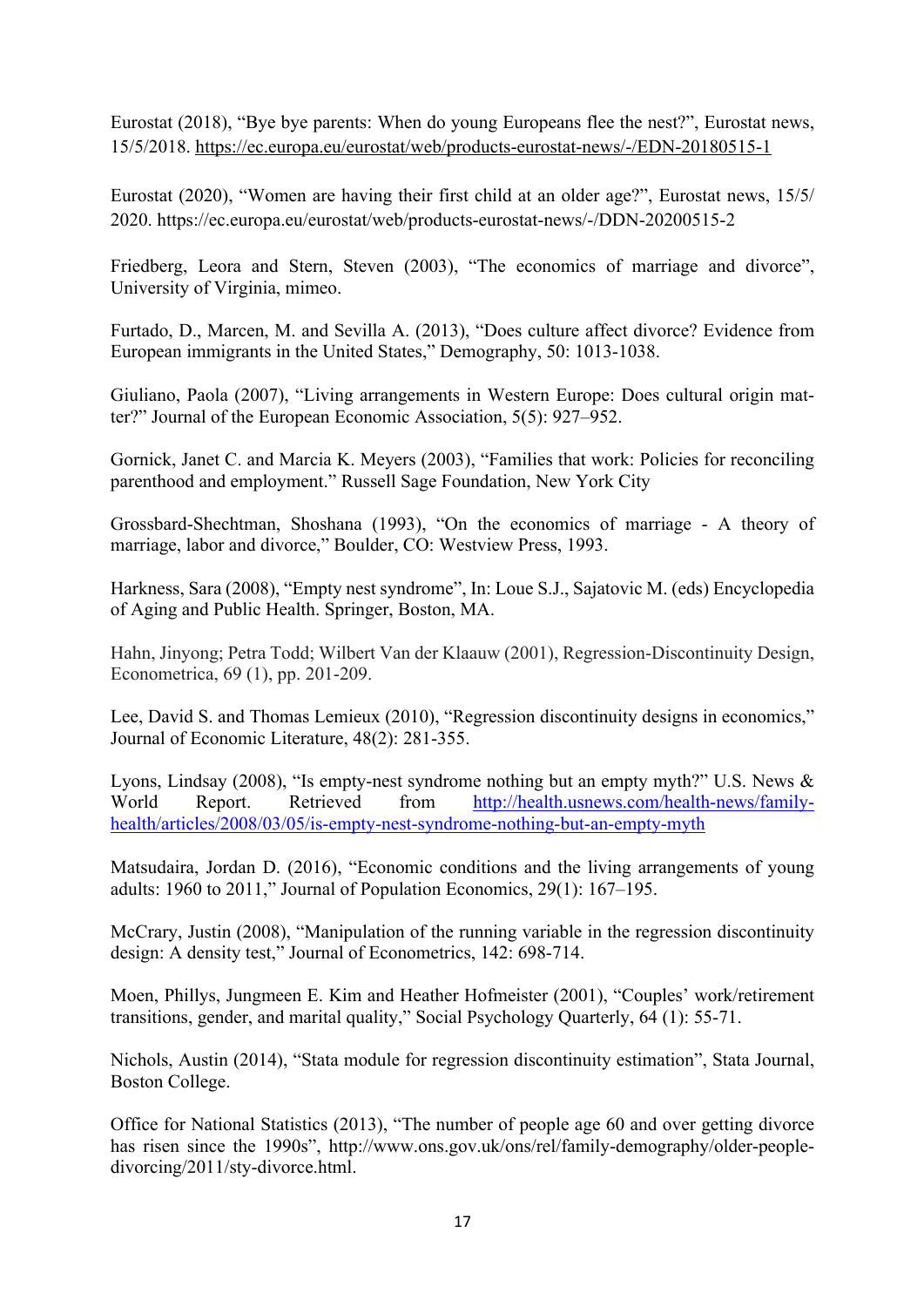Eurostat (2018), "Bye bye parents: When do young Europeans flee the nest?", Eurostat news, 15/5/2018. https://ec.europa.eu/eurostat/web/products-eurostat-news/-/EDN-20180515-1

Eurostat (2020), "Women are having their first child at an older age?", Eurostat news, 15/5/ 2020. https://ec.europa.eu/eurostat/web/products-eurostat-news/-/DDN-20200515-2

Friedberg, Leora and Stern, Steven (2003), "The economics of marriage and divorce", University of Virginia, mimeo.

Furtado, D., Marcen, M. and Sevilla A. (2013), "Does culture affect divorce? Evidence from European immigrants in the United States," Demography, 50: 1013-1038.

Giuliano, Paola (2007), "Living arrangements in Western Europe: Does cultural origin matter?" Journal of the European Economic Association, 5(5): 927–952.

Gornick, Janet C. and Marcia K. Meyers (2003), "Families that work: Policies for reconciling parenthood and employment." Russell Sage Foundation, New York City

Grossbard-Shechtman, Shoshana (1993), "On the economics of marriage - A theory of marriage, labor and divorce," Boulder, CO: Westview Press, 1993.

Harkness, Sara (2008), "Empty nest syndrome", In: Loue S.J., Sajatovic M. (eds) Encyclopedia of Aging and Public Health. Springer, Boston, MA.

Hahn, Jinyong; Petra Todd; Wilbert Van der Klaauw (2001), Regression-Discontinuity Design, Econometrica, 69 (1), pp. 201-209.

Lee, David S. and Thomas Lemieux (2010), "Regression discontinuity designs in economics," Journal of Economic Literature, 48(2): 281-355.

Lyons, Lindsay (2008), "Is empty-nest syndrome nothing but an empty myth?" U.S. News & World Report. Retrieved from http://health.usnews.com/health-news/familyhealth/articles/2008/03/05/is-empty-nest-syndrome-nothing-but-an-empty-myth

Matsudaira, Jordan D. (2016), "Economic conditions and the living arrangements of young adults: 1960 to 2011," Journal of Population Economics, 29(1): 167–195.

McCrary, Justin (2008), "Manipulation of the running variable in the regression discontinuity design: A density test," Journal of Econometrics, 142: 698-714.

Moen, Phillys, Jungmeen E. Kim and Heather Hofmeister (2001), "Couples' work/retirement transitions, gender, and marital quality," Social Psychology Quarterly, 64 (1): 55-71.

Nichols, Austin (2014), "Stata module for regression discontinuity estimation", Stata Journal, Boston College.

Office for National Statistics (2013), "The number of people age 60 and over getting divorce has risen since the 1990s", http://www.ons.gov.uk/ons/rel/family-demography/older-peopledivorcing/2011/sty-divorce.html.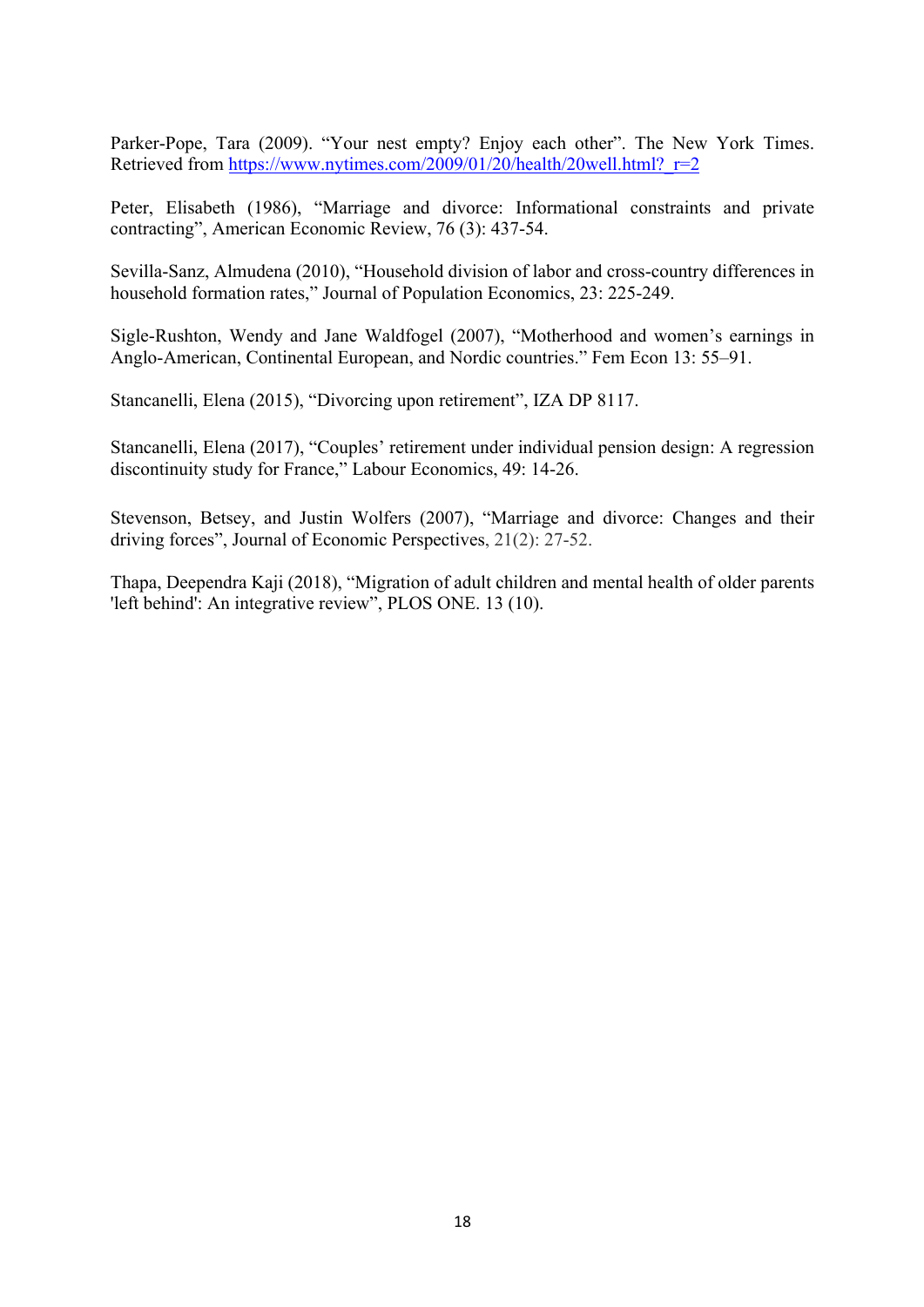Parker-Pope, Tara (2009). "Your nest empty? Enjoy each other". The New York Times. Retrieved from https://www.nytimes.com/2009/01/20/health/20well.html? r=2

Peter, Elisabeth (1986), "Marriage and divorce: Informational constraints and private contracting", American Economic Review, 76 (3): 437-54.

Sevilla-Sanz, Almudena (2010), "Household division of labor and cross-country differences in household formation rates," Journal of Population Economics, 23: 225-249.

Sigle-Rushton, Wendy and Jane Waldfogel (2007), "Motherhood and women's earnings in Anglo-American, Continental European, and Nordic countries." Fem Econ 13: 55–91.

Stancanelli, Elena (2015), "Divorcing upon retirement", IZA DP 8117.

Stancanelli, Elena (2017), "Couples' retirement under individual pension design: A regression discontinuity study for France," Labour Economics, 49: 14-26.

Stevenson, Betsey, and Justin Wolfers (2007), "Marriage and divorce: Changes and their driving forces", Journal of Economic Perspectives, 21(2): 27-52.

Thapa, Deependra Kaji (2018), "Migration of adult children and mental health of older parents 'left behind': An integrative review", PLOS ONE. 13 (10).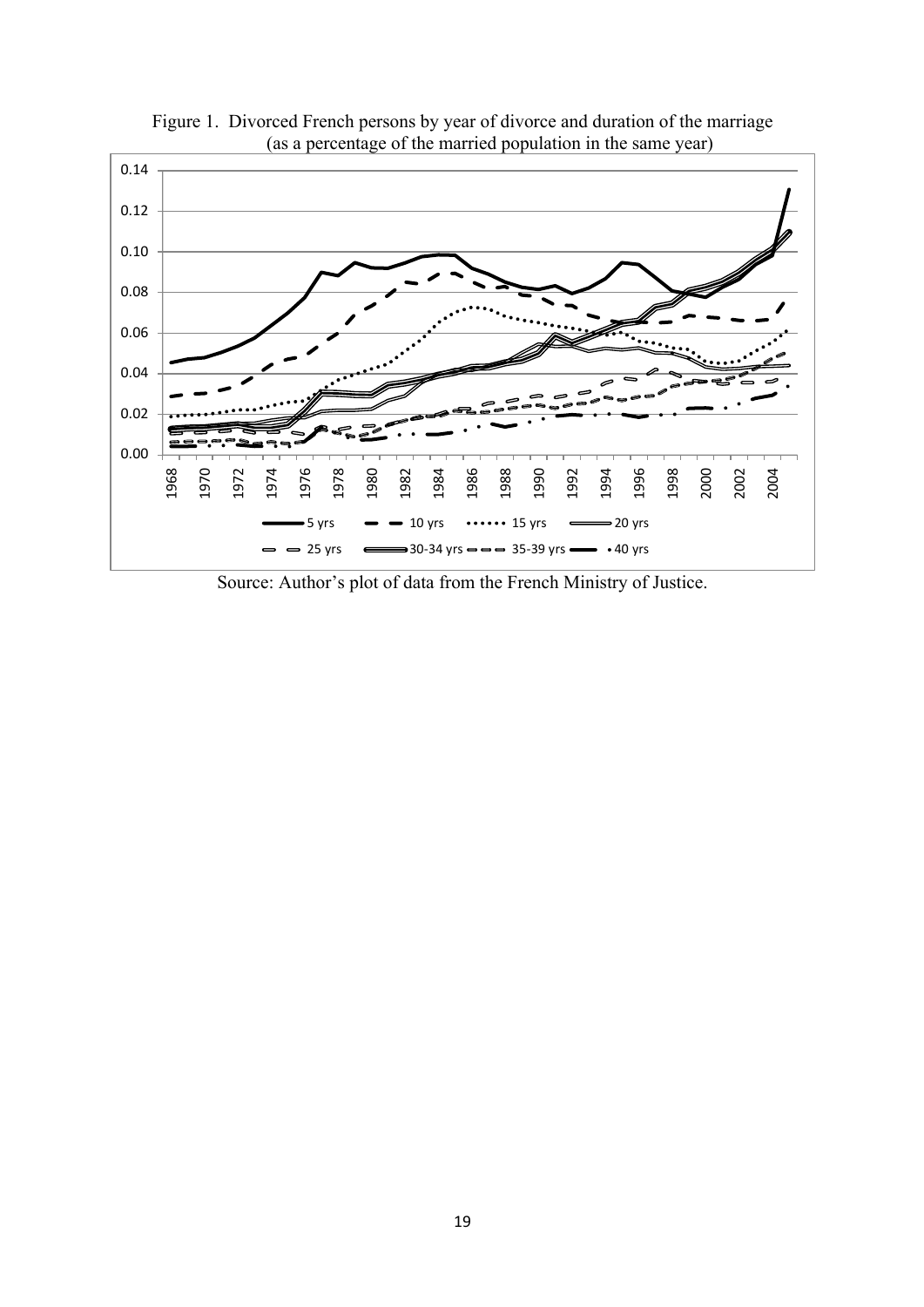

Figure 1. Divorced French persons by year of divorce and duration of the marriage (as a percentage of the married population in the same year)

Source: Author's plot of data from the French Ministry of Justice.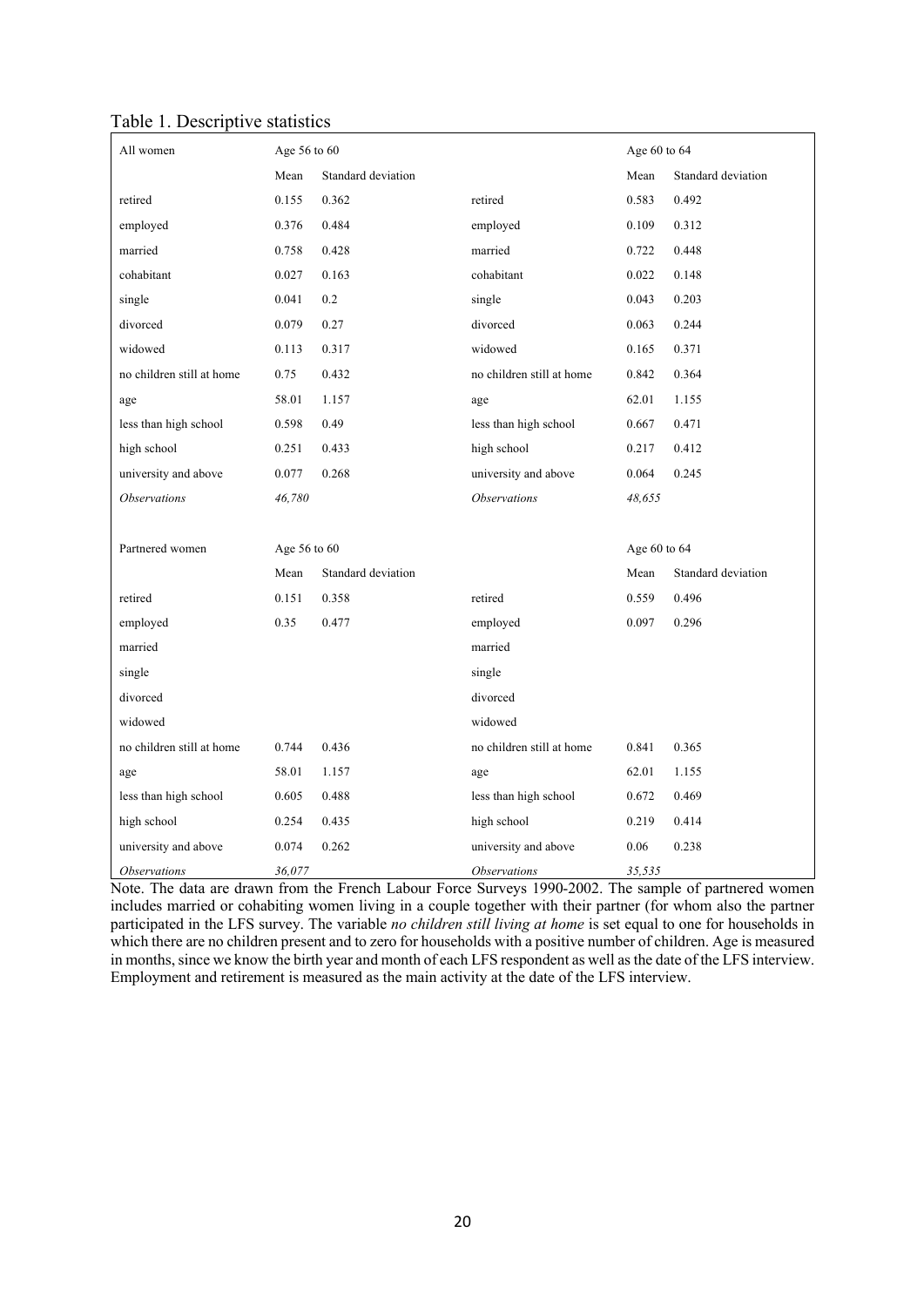| Table 1. Descriptive statistics |
|---------------------------------|
|---------------------------------|

| All women                 | Age 56 to 60 |                    |                            |              | Age 60 to 64       |
|---------------------------|--------------|--------------------|----------------------------|--------------|--------------------|
|                           | Mean         | Standard deviation |                            | Mean         | Standard deviation |
| retired                   | 0.155        | 0.362              | retired                    | 0.583        | 0.492              |
| employed                  | 0.376        | 0.484              | employed                   | 0.109        | 0.312              |
| married                   | 0.758        | 0.428              | married                    | 0.722        | 0.448              |
| cohabitant                | 0.027        | 0.163              | cohabitant                 | 0.022        | 0.148              |
| single                    | 0.041        | 0.2                | single                     | 0.043        | 0.203              |
| divorced                  | 0.079        | 0.27               | divorced                   | 0.063        | 0.244              |
| widowed                   | 0.113        | 0.317              | widowed                    | 0.165        | 0.371              |
| no children still at home | 0.75         | 0.432              | no children still at home  | 0.842        | 0.364              |
| age                       | 58.01        | 1.157              | age                        | 62.01        | 1.155              |
| less than high school     | 0.598        | 0.49               | less than high school      | 0.667        | 0.471              |
| high school               | 0.251        | 0.433              | high school                | 0.217        | 0.412              |
| university and above      | 0.077        | 0.268              | university and above       | 0.064        | 0.245              |
| <b>Observations</b>       | 46,780       |                    | <i><b>Observations</b></i> | 48,655       |                    |
|                           |              |                    |                            |              |                    |
| Partnered women           | Age 56 to 60 |                    |                            | Age 60 to 64 |                    |
|                           | Mean         | Standard deviation |                            | Mean         | Standard deviation |
| retired                   | 0.151        | 0.358              | retired                    | 0.559        | 0.496              |
| employed                  | 0.35         | 0.477              | employed                   | 0.097        | 0.296              |
| married                   |              |                    | married                    |              |                    |
| single                    |              |                    | single                     |              |                    |
| divorced                  |              |                    | divorced                   |              |                    |
| widowed                   |              |                    | widowed                    |              |                    |
| no children still at home | 0.744        | 0.436              | no children still at home  | 0.841        | 0.365              |
| age                       | 58.01        | 1.157              | age                        | 62.01        | 1.155              |
| less than high school     | 0.605        | 0.488              | less than high school      | 0.672        | 0.469              |
| high school               | 0.254        | 0.435              | high school                | 0.219        | 0.414              |
| university and above      | 0.074        | 0.262              | university and above       | 0.06         | 0.238              |
|                           |              |                    |                            |              |                    |

Note. The data are drawn from the French Labour Force Surveys 1990-2002. The sample of partnered women includes married or cohabiting women living in a couple together with their partner (for whom also the partner participated in the LFS survey. The variable *no children still living at home* is set equal to one for households in which there are no children present and to zero for households with a positive number of children. Age is measured in months, since we know the birth year and month of each LFS respondent as well as the date of the LFS interview. Employment and retirement is measured as the main activity at the date of the LFS interview.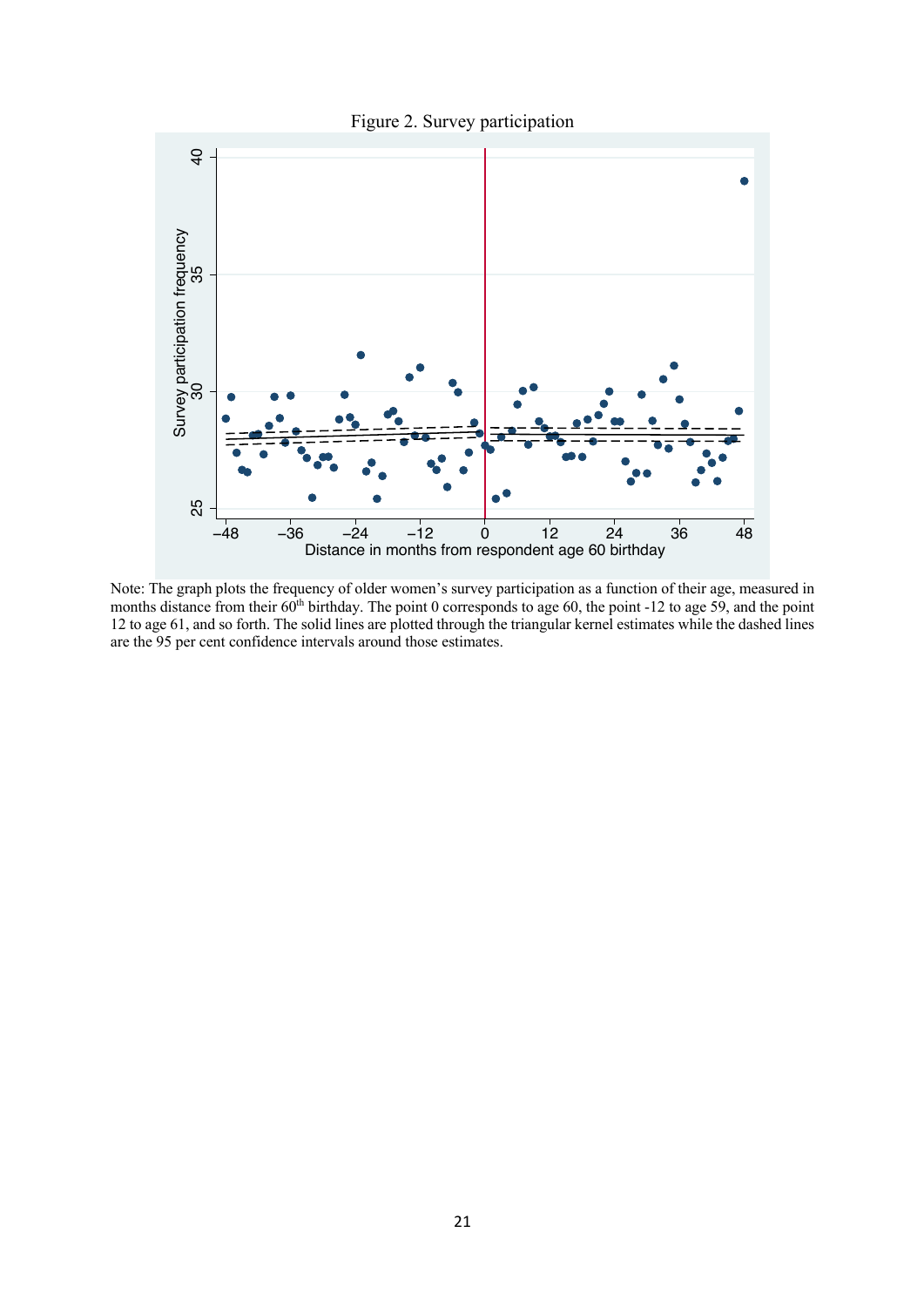



Note: The graph plots the frequency of older women's survey participation as a function of their age, measured in months distance from their  $60<sup>th</sup>$  birthday. The point 0 corresponds to age 60, the point -12 to age 59, and the point 12 to age 61, and so forth. The solid lines are plotted through the triangular kernel estimates while the dashed lines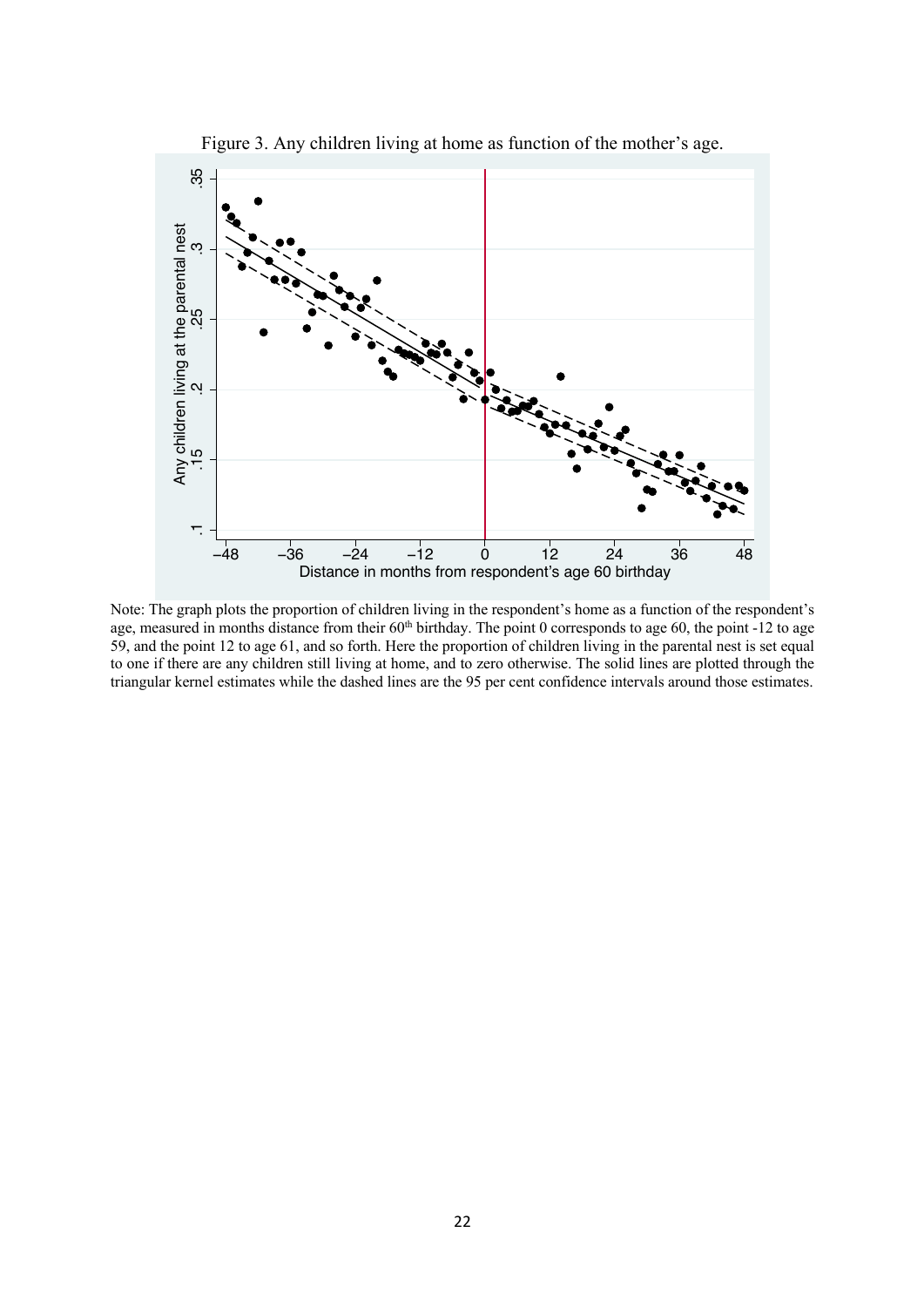

Figure 3. Any children living at home as function of the mother's age.

Note: The graph plots the proportion of children living in the respondent's home as a function of the respondent's age, measured in months distance from their 60<sup>th</sup> birthday. The point 0 corresponds to age 60, the point -12 to age 59, and the point 12 to age 61, and so forth. Here the proportion of children living in the parental nest is set equal to one if there are any children still living at home, and to zero otherwise. The solid lines are plotted through the triangular kernel estimates while the dashed lines are the 95 per cent confidence intervals around those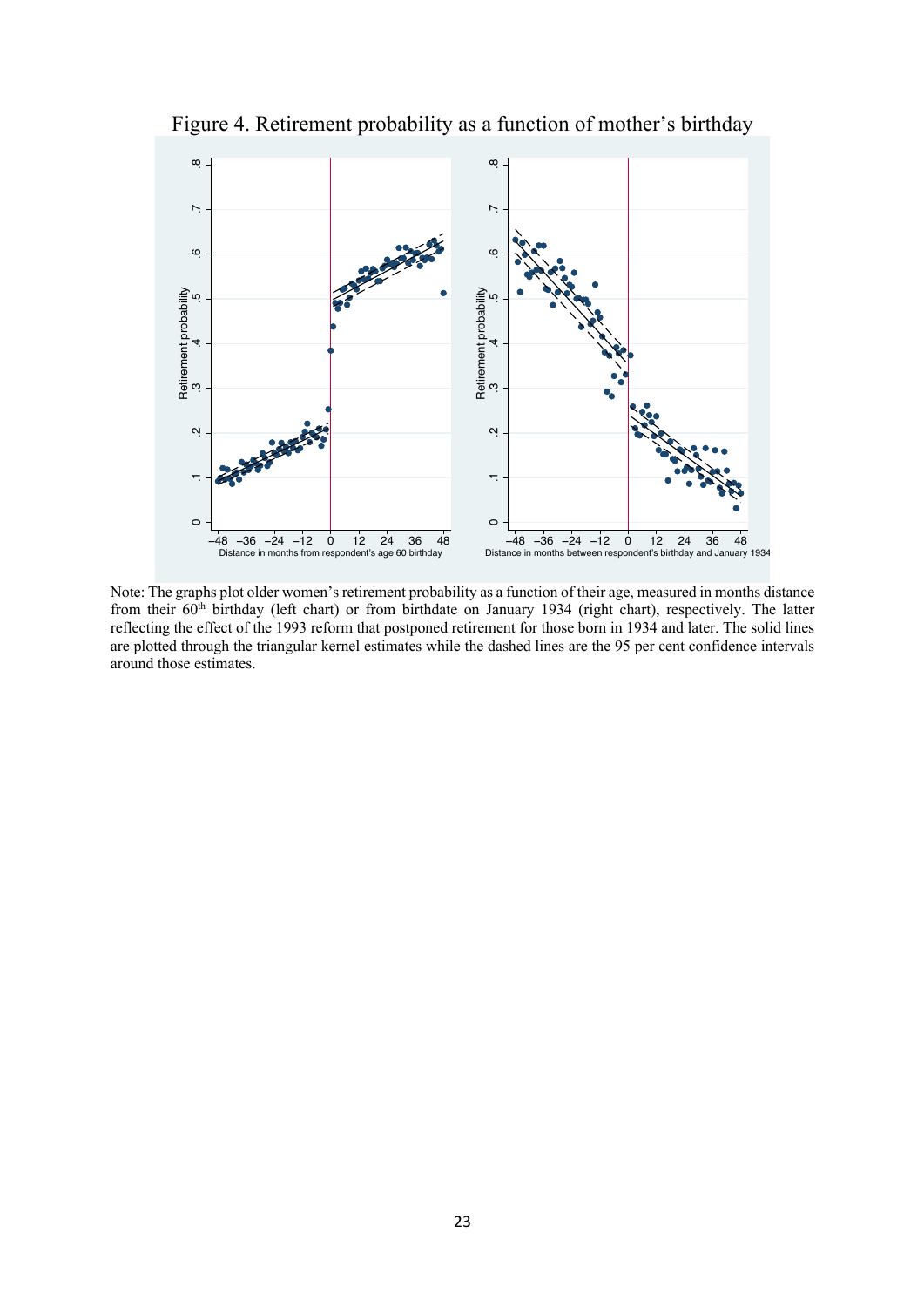

Figure 4. Retirement probability as a function of mother's birthday

Note: The graphs plot older women's retirement probability as a function of their age, measured in months distance from their 60<sup>th</sup> birthday (left chart) or from birthdate on January 1934 (right chart), respectively. The latter reflecting the effect of the 1993 reform that postponed retirement for those born in 1934 and later. The solid lines are plotted through the triangular kernel estimates while the dashed lines are the 95 per cent confidence intervals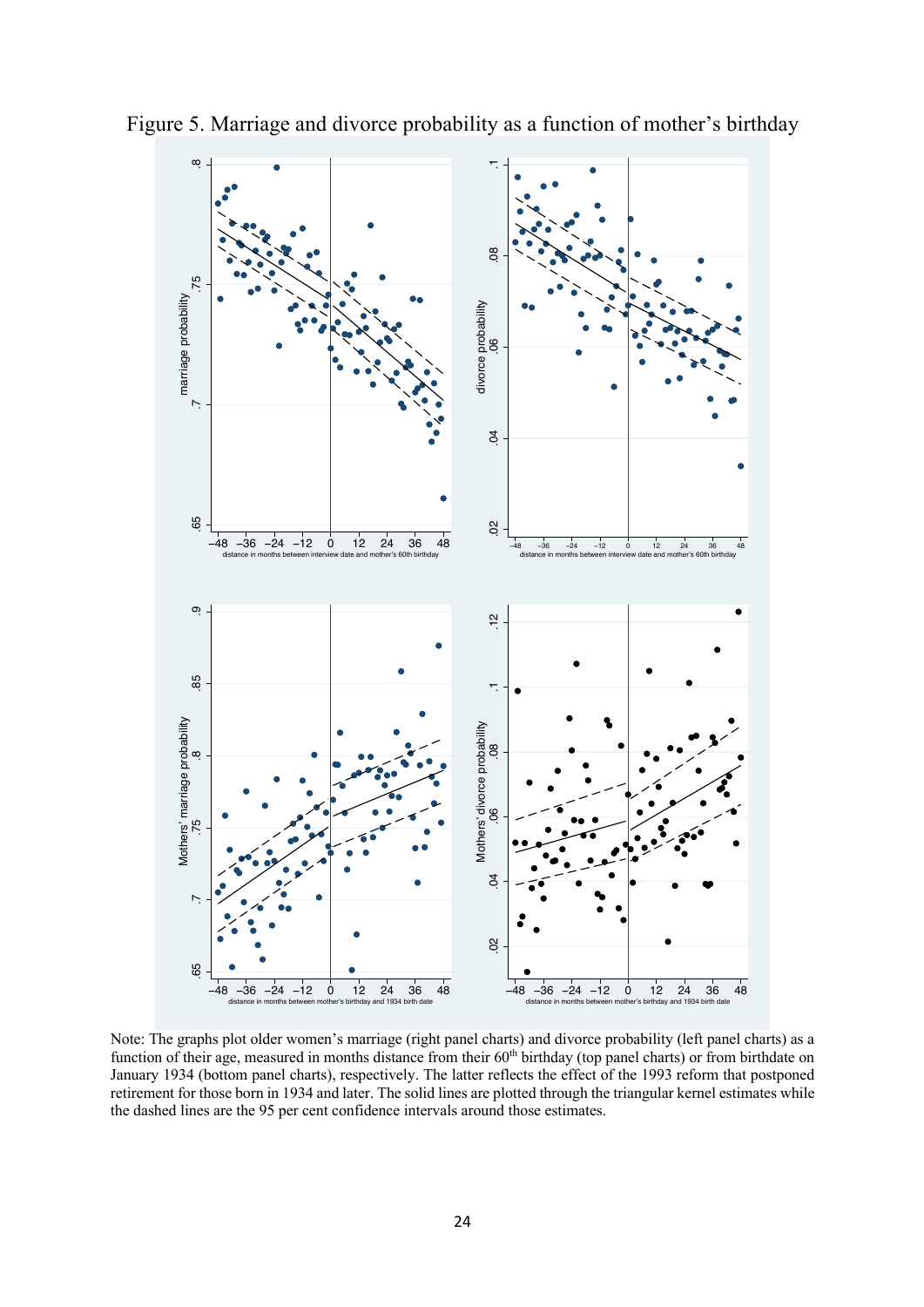

Figure 5. Marriage and divorce probability as a function of mother's birthday

Note: The graphs plot older women's marriage (right panel charts) and divorce probability (left panel charts) as a function of their age, measured in months distance from their 60<sup>th</sup> birthday (top panel charts) or from birthdate on January 1934 (bottom panel charts), respectively. The latter reflects the effect of the 1993 reform that postponed retirement for those born in 1934 and later. The solid lines are plotted through the triangular kernel estimates while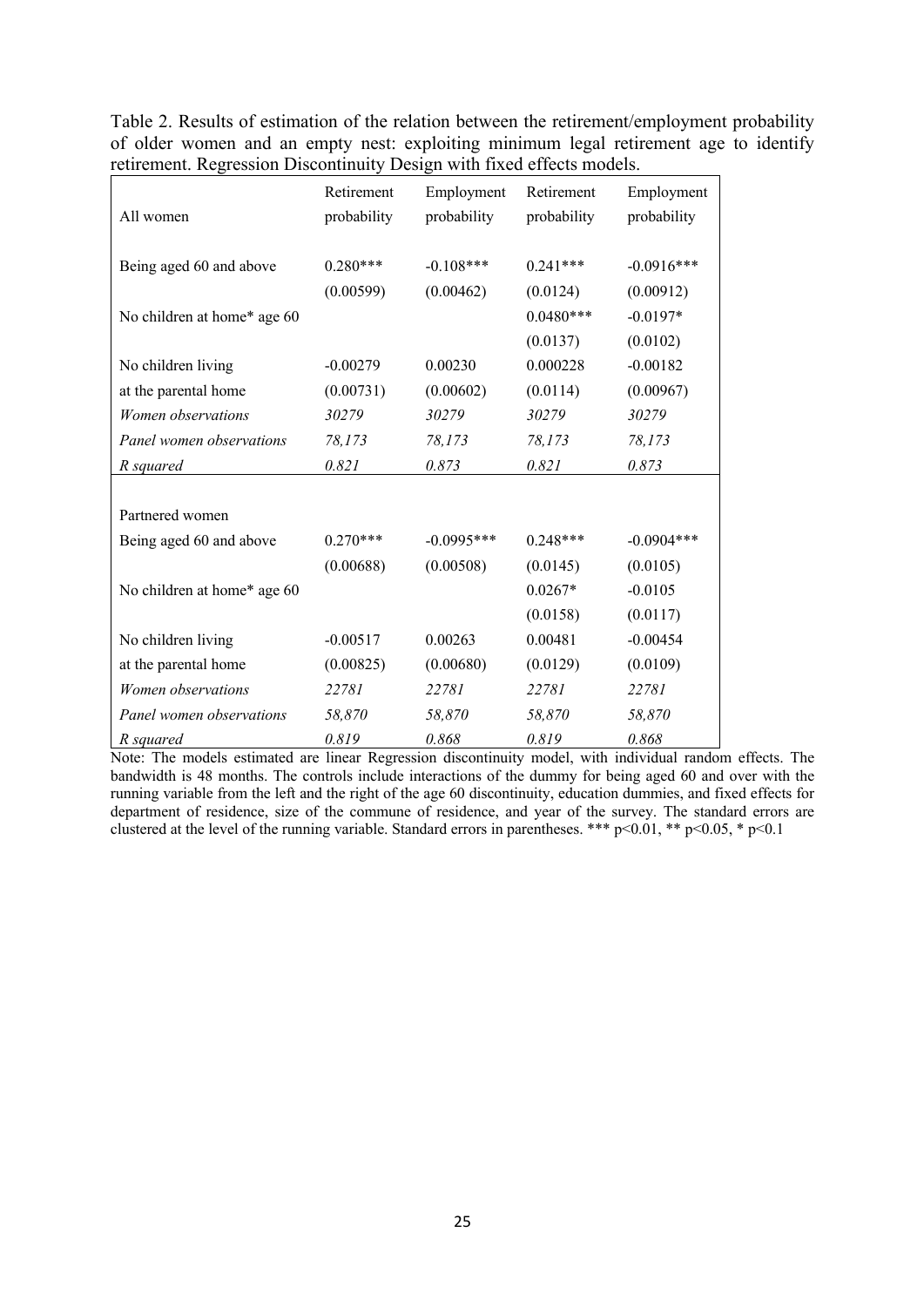| Table 2. Results of estimation of the relation between the retirement/employment probability |  |
|----------------------------------------------------------------------------------------------|--|
| of older women and an empty nest: exploiting minimum legal retirement age to identify        |  |
| retirement. Regression Discontinuity Design with fixed effects models.                       |  |

|                             | Retirement  | Employment   | Retirement  | Employment   |
|-----------------------------|-------------|--------------|-------------|--------------|
| All women                   | probability | probability  | probability | probability  |
|                             |             |              |             |              |
| Being aged 60 and above     | $0.280***$  | $-0.108***$  | $0.241***$  | $-0.0916***$ |
|                             | (0.00599)   | (0.00462)    | (0.0124)    | (0.00912)    |
| No children at home* age 60 |             |              | $0.0480***$ | $-0.0197*$   |
|                             |             |              | (0.0137)    | (0.0102)     |
| No children living          | $-0.00279$  | 0.00230      | 0.000228    | $-0.00182$   |
| at the parental home        | (0.00731)   | (0.00602)    | (0.0114)    | (0.00967)    |
| Women observations          | 30279       | 30279        | 30279       | 30279        |
| Panel women observations    | 78,173      | 78,173       | 78,173      | 78,173       |
| R squared                   | 0.821       | 0.873        | 0.821       | 0.873        |
|                             |             |              |             |              |
| Partnered women             |             |              |             |              |
| Being aged 60 and above     | $0.270***$  | $-0.0995***$ | $0.248***$  | $-0.0904***$ |
|                             | (0.00688)   | (0.00508)    | (0.0145)    | (0.0105)     |
| No children at home* age 60 |             |              | $0.0267*$   | $-0.0105$    |
|                             |             |              | (0.0158)    | (0.0117)     |
| No children living          | $-0.00517$  | 0.00263      | 0.00481     | $-0.00454$   |
| at the parental home        | (0.00825)   | (0.00680)    | (0.0129)    | (0.0109)     |
| Women observations          | 22781       | 22781        | 22781       | 22781        |
| Panel women observations    | 58,870      | 58,870       | 58,870      | 58,870       |
| R squared                   | 0.819       | 0.868        | 0.819       | 0.868        |

Note: The models estimated are linear Regression discontinuity model, with individual random effects. The bandwidth is 48 months. The controls include interactions of the dummy for being aged 60 and over with the running variable from the left and the right of the age 60 discontinuity, education dummies, and fixed effects for department of residence, size of the commune of residence, and year of the survey. The standard errors are clustered at the level of the running variable. Standard errors in parentheses. \*\*\*  $p<0.01$ , \*\*  $p<0.05$ , \*  $p<0.1$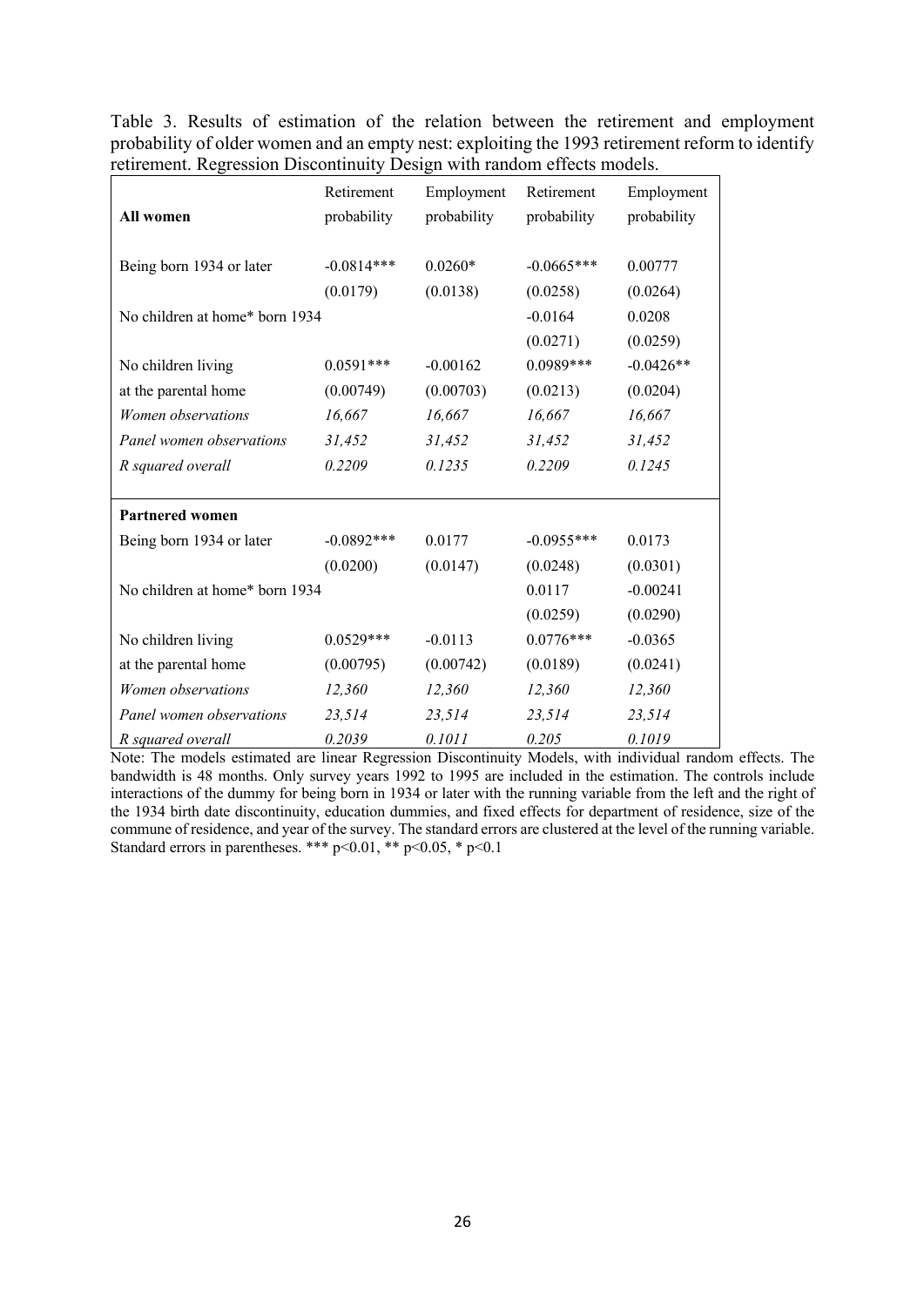Table 3. Results of estimation of the relation between the retirement and employment probability of older women and an empty nest: exploiting the 1993 retirement reform to identify retirement. Regression Discontinuity Design with random effects models.

| All women                      | Retirement<br>probability | Employment<br>probability | Retirement<br>probability | Employment<br>probability |
|--------------------------------|---------------------------|---------------------------|---------------------------|---------------------------|
| Being born 1934 or later       | $-0.0814***$              | $0.0260*$                 | $-0.0665***$              | 0.00777                   |
|                                | (0.0179)                  | (0.0138)                  | (0.0258)                  | (0.0264)                  |
| No children at home* born 1934 |                           |                           | $-0.0164$                 | 0.0208                    |
|                                |                           |                           | (0.0271)                  | (0.0259)                  |
| No children living             | $0.0591***$               | $-0.00162$                | $0.0989***$               | $-0.0426**$               |
| at the parental home           | (0.00749)                 | (0.00703)                 | (0.0213)                  | (0.0204)                  |
| Women observations             | 16,667                    | 16,667                    | 16,667                    | 16,667                    |
| Panel women observations       | 31,452                    | 31,452                    | 31,452                    | 31,452                    |
| R squared overall              | 0.2209                    | 0.1235                    | 0.2209                    | 0.1245                    |
|                                |                           |                           |                           |                           |
| <b>Partnered women</b>         |                           |                           |                           |                           |
| Being born 1934 or later       | $-0.0892***$              | 0.0177                    | $-0.0955***$              | 0.0173                    |
|                                | (0.0200)                  | (0.0147)                  | (0.0248)                  | (0.0301)                  |
| No children at home* born 1934 |                           |                           | 0.0117                    | $-0.00241$                |
|                                |                           |                           | (0.0259)                  | (0.0290)                  |
| No children living             | $0.0529***$               | $-0.0113$                 | $0.0776***$               | $-0.0365$                 |
| at the parental home           | (0.00795)                 | (0.00742)                 | (0.0189)                  | (0.0241)                  |
| Women observations             | 12,360                    | 12,360                    | 12,360                    | 12,360                    |
| Panel women observations       | 23,514                    | 23,514                    | 23,514                    | 23,514                    |
| R squared overall              | 0.2039                    | 0.1011                    | 0.205                     | 0.1019                    |

Note: The models estimated are linear Regression Discontinuity Models, with individual random effects. The bandwidth is 48 months. Only survey years 1992 to 1995 are included in the estimation. The controls include interactions of the dummy for being born in 1934 or later with the running variable from the left and the right of the 1934 birth date discontinuity, education dummies, and fixed effects for department of residence, size of the commune of residence, and year of the survey. The standard errors are clustered at the level of the running variable. Standard errors in parentheses. \*\*\*  $p<0.01$ , \*\*  $p<0.05$ , \*  $p<0.1$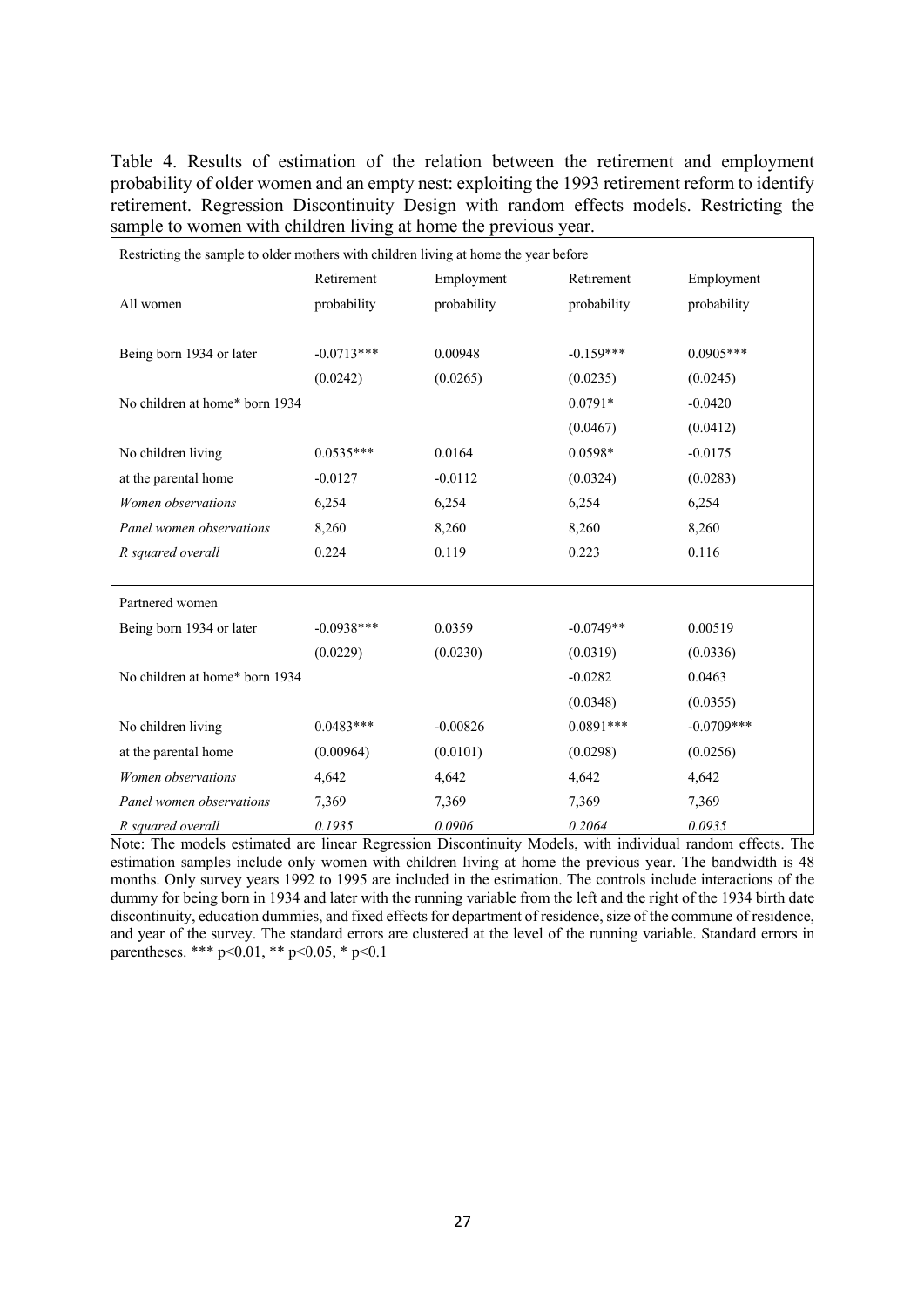Table 4. Results of estimation of the relation between the retirement and employment probability of older women and an empty nest: exploiting the 1993 retirement reform to identify retirement. Regression Discontinuity Design with random effects models. Restricting the sample to women with children living at home the previous year.

| Restricting the sample to older mothers with children living at home the year before |              |             |             |              |  |  |  |  |
|--------------------------------------------------------------------------------------|--------------|-------------|-------------|--------------|--|--|--|--|
|                                                                                      | Retirement   | Retirement  | Employment  |              |  |  |  |  |
| All women                                                                            | probability  | probability | probability | probability  |  |  |  |  |
|                                                                                      |              |             |             |              |  |  |  |  |
| Being born 1934 or later                                                             | $-0.0713***$ | 0.00948     | $-0.159***$ | $0.0905***$  |  |  |  |  |
|                                                                                      | (0.0242)     | (0.0265)    | (0.0235)    | (0.0245)     |  |  |  |  |
| No children at home* born 1934                                                       |              |             | $0.0791*$   | $-0.0420$    |  |  |  |  |
|                                                                                      |              |             | (0.0467)    | (0.0412)     |  |  |  |  |
| No children living                                                                   | $0.0535***$  | 0.0164      | $0.0598*$   | $-0.0175$    |  |  |  |  |
| at the parental home                                                                 | $-0.0127$    | $-0.0112$   | (0.0324)    | (0.0283)     |  |  |  |  |
| Women observations                                                                   | 6,254        | 6,254       | 6,254       | 6,254        |  |  |  |  |
| Panel women observations                                                             | 8,260        | 8,260       | 8,260       | 8,260        |  |  |  |  |
| R squared overall                                                                    | 0.224        | 0.119       | 0.223       | 0.116        |  |  |  |  |
|                                                                                      |              |             |             |              |  |  |  |  |
| Partnered women                                                                      |              |             |             |              |  |  |  |  |
| Being born 1934 or later                                                             | $-0.0938***$ | 0.0359      | $-0.0749**$ | 0.00519      |  |  |  |  |
|                                                                                      | (0.0229)     | (0.0230)    | (0.0319)    | (0.0336)     |  |  |  |  |
| No children at home* born 1934                                                       |              |             | $-0.0282$   | 0.0463       |  |  |  |  |
|                                                                                      |              |             | (0.0348)    | (0.0355)     |  |  |  |  |
| No children living                                                                   | $0.0483***$  | $-0.00826$  | $0.0891***$ | $-0.0709***$ |  |  |  |  |
| at the parental home                                                                 | (0.00964)    | (0.0101)    | (0.0298)    | (0.0256)     |  |  |  |  |
| Women observations                                                                   | 4,642        | 4,642       | 4,642       | 4,642        |  |  |  |  |
| Panel women observations                                                             | 7,369        | 7,369       | 7,369       | 7,369        |  |  |  |  |
| R squared overall                                                                    | 0.1935       | 0.0906      | 0.2064      | 0.0935       |  |  |  |  |

Note: The models estimated are linear Regression Discontinuity Models, with individual random effects. The estimation samples include only women with children living at home the previous year. The bandwidth is 48 months. Only survey years 1992 to 1995 are included in the estimation. The controls include interactions of the dummy for being born in 1934 and later with the running variable from the left and the right of the 1934 birth date discontinuity, education dummies, and fixed effects for department of residence, size of the commune of residence, and year of the survey. The standard errors are clustered at the level of the running variable. Standard errors in parentheses. \*\*\* p<0.01, \*\* p<0.05, \* p<0.1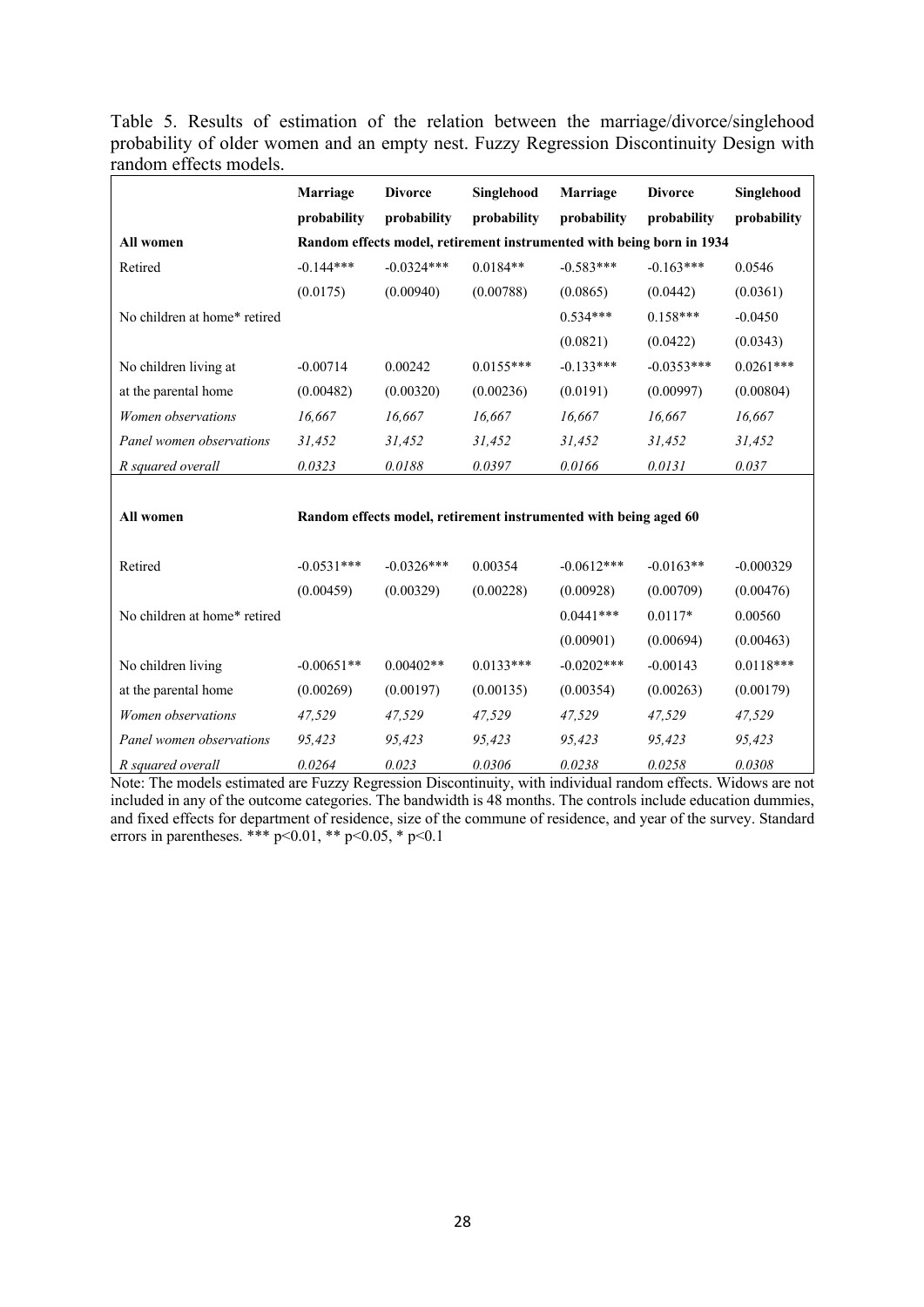| probability of older women and an empty nest. Fuzzy Regression Discontinuity Design with<br>random effects models. |  |  |  |  | Table 5. Results of estimation of the relation between the marriage/divorce/singlehood |  |
|--------------------------------------------------------------------------------------------------------------------|--|--|--|--|----------------------------------------------------------------------------------------|--|
|                                                                                                                    |  |  |  |  |                                                                                        |  |
|                                                                                                                    |  |  |  |  |                                                                                        |  |

|                              | Marriage     | <b>Divorce</b>                                                        | Singlehood  | Marriage                                                         | <b>Divorce</b> | Singlehood  |  |  |  |  |  |  |
|------------------------------|--------------|-----------------------------------------------------------------------|-------------|------------------------------------------------------------------|----------------|-------------|--|--|--|--|--|--|
|                              | probability  | probability                                                           | probability | probability                                                      | probability    | probability |  |  |  |  |  |  |
| All women                    |              | Random effects model, retirement instrumented with being born in 1934 |             |                                                                  |                |             |  |  |  |  |  |  |
| Retired                      | $-0.144***$  | $-0.0324***$                                                          | $0.0184**$  | $-0.583***$                                                      | $-0.163***$    | 0.0546      |  |  |  |  |  |  |
|                              | (0.0175)     | (0.00940)                                                             | (0.00788)   | (0.0865)                                                         | (0.0442)       | (0.0361)    |  |  |  |  |  |  |
| No children at home* retired |              |                                                                       |             | $0.534***$                                                       | $0.158***$     | $-0.0450$   |  |  |  |  |  |  |
|                              |              |                                                                       |             | (0.0821)                                                         | (0.0422)       | (0.0343)    |  |  |  |  |  |  |
| No children living at        | $-0.00714$   | 0.00242                                                               | $0.0155***$ | $-0.133***$                                                      | $-0.0353***$   | $0.0261***$ |  |  |  |  |  |  |
| at the parental home         | (0.00482)    | (0.00320)                                                             | (0.00236)   | (0.0191)                                                         | (0.00997)      | (0.00804)   |  |  |  |  |  |  |
| Women observations           | 16,667       | 16,667                                                                | 16,667      | 16,667                                                           | 16,667         | 16,667      |  |  |  |  |  |  |
| Panel women observations     | 31,452       | 31,452                                                                | 31,452      | 31,452                                                           | 31,452         | 31,452      |  |  |  |  |  |  |
| R squared overall            | 0.0323       | 0.0188                                                                | 0.0397      | 0.0166                                                           | 0.0131         | 0.037       |  |  |  |  |  |  |
|                              |              |                                                                       |             |                                                                  |                |             |  |  |  |  |  |  |
| All women                    |              |                                                                       |             | Random effects model, retirement instrumented with being aged 60 |                |             |  |  |  |  |  |  |
|                              |              |                                                                       |             |                                                                  |                |             |  |  |  |  |  |  |
| Retired                      | $-0.0531***$ | $-0.0326***$                                                          | 0.00354     | $-0.0612***$                                                     | $-0.0163**$    | $-0.000329$ |  |  |  |  |  |  |
|                              | (0.00459)    | (0.00329)                                                             | (0.00228)   | (0.00928)                                                        | (0.00709)      | (0.00476)   |  |  |  |  |  |  |
| No children at home* retired |              |                                                                       |             | $0.0441***$                                                      | $0.0117*$      | 0.00560     |  |  |  |  |  |  |
|                              |              |                                                                       |             | (0.00901)                                                        | (0.00694)      | (0.00463)   |  |  |  |  |  |  |
| No children living           | $-0.00651**$ | $0.00402**$                                                           | $0.0133***$ | $-0.0202$ ***                                                    | $-0.00143$     | $0.0118***$ |  |  |  |  |  |  |
| at the parental home         | (0.00269)    | (0.00197)                                                             | (0.00135)   | (0.00354)                                                        | (0.00263)      | (0.00179)   |  |  |  |  |  |  |
| Women observations           | 47,529       | 47,529                                                                | 47,529      | 47,529                                                           | 47,529         | 47,529      |  |  |  |  |  |  |
| Panel women observations     | 95,423       | 95,423                                                                | 95,423      | 95,423                                                           | 95,423         | 95,423      |  |  |  |  |  |  |
| R squared overall            | 0.0264       | 0.023                                                                 | 0.0306      | 0.0238                                                           | 0.0258         | 0.0308      |  |  |  |  |  |  |

Note: The models estimated are Fuzzy Regression Discontinuity, with individual random effects. Widows are not included in any of the outcome categories. The bandwidth is 48 months. The controls include education dummies, and fixed effects for department of residence, size of the commune of residence, and year of the survey. Standard errors in parentheses. \*\*\*  $p<0.01$ , \*\*  $p<0.05$ , \*  $p<0.1$